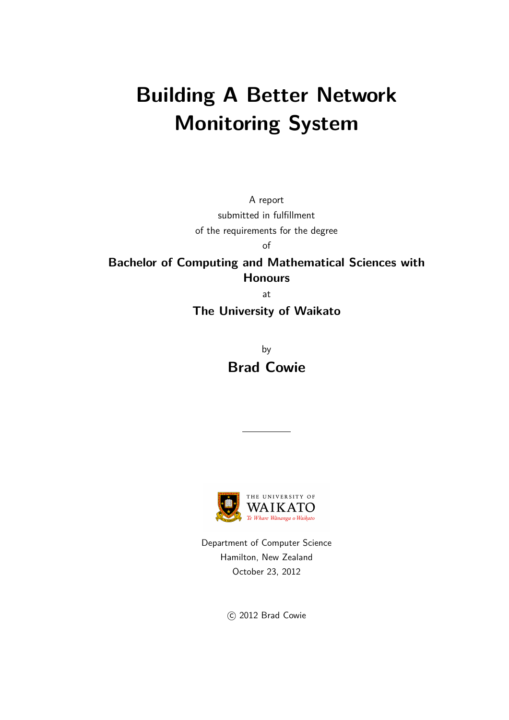# **Building A Better Network Monitoring System**

A report submitted in fulfillment of the requirements for the degree of

**Bachelor of Computing and Mathematical Sciences with Honours**

at

**The University of Waikato**

by **Brad Cowie**



Department of Computer Science Hamilton, New Zealand October 23, 2012

C 2012 Brad Cowie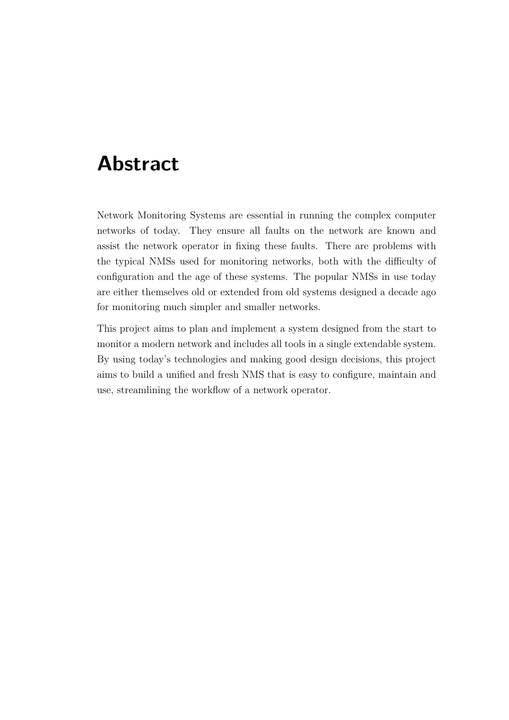## **Abstract**

<span id="page-1-0"></span>Network Monitoring Systems are essential in running the complex computer networks of today. They ensure all faults on the network are known and assist the network operator in fixing these faults. There are problems with the typical NMSs used for monitoring networks, both with the difficulty of configuration and the age of these systems. The popular NMSs in use today are either themselves old or extended from old systems designed a decade ago for monitoring much simpler and smaller networks.

This project aims to plan and implement a system designed from the start to monitor a modern network and includes all tools in a single extendable system. By using today's technologies and making good design decisions, this project aims to build a unified and fresh NMS that is easy to configure, maintain and use, streamlining the workflow of a network operator.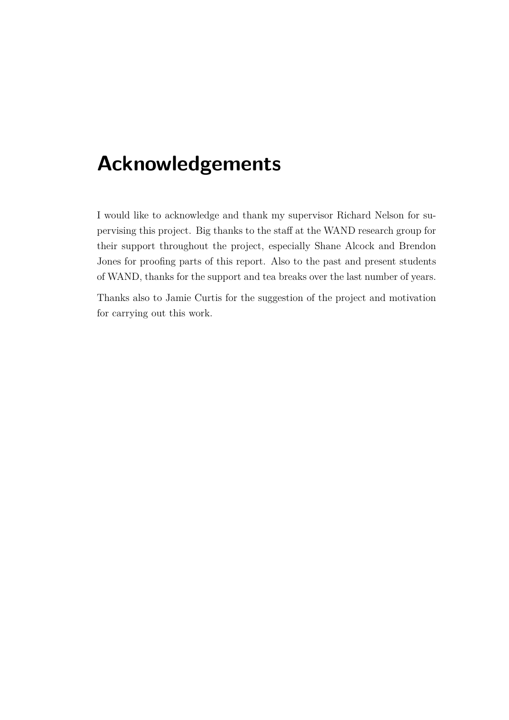## **Acknowledgements**

<span id="page-2-0"></span>I would like to acknowledge and thank my supervisor Richard Nelson for supervising this project. Big thanks to the staff at the WAND research group for their support throughout the project, especially Shane Alcock and Brendon Jones for proofing parts of this report. Also to the past and present students of WAND, thanks for the support and tea breaks over the last number of years.

Thanks also to Jamie Curtis for the suggestion of the project and motivation for carrying out this work.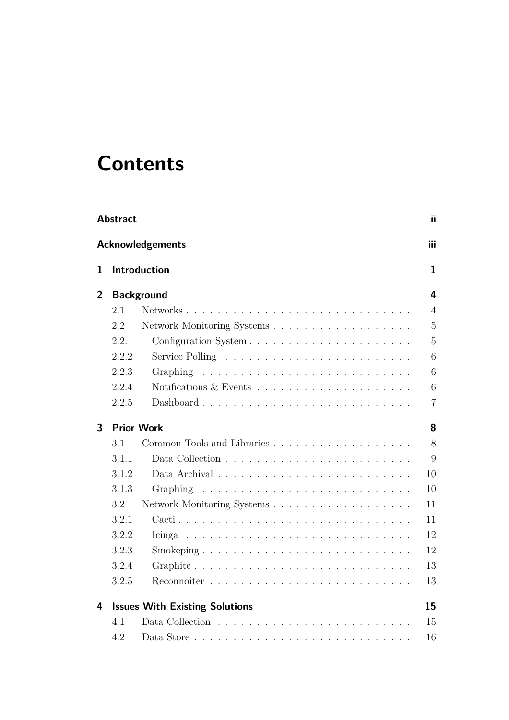# **Contents**

| <b>Abstract</b><br>ii |                                |                                       |                |  |  |  |  |  |  |  |  |  |
|-----------------------|--------------------------------|---------------------------------------|----------------|--|--|--|--|--|--|--|--|--|
|                       | <b>Acknowledgements</b><br>iii |                                       |                |  |  |  |  |  |  |  |  |  |
| 1                     |                                | Introduction                          | $\mathbf{1}$   |  |  |  |  |  |  |  |  |  |
| $\overline{2}$        | <b>Background</b>              |                                       |                |  |  |  |  |  |  |  |  |  |
|                       | 2.1                            | Networks                              | $\overline{4}$ |  |  |  |  |  |  |  |  |  |
|                       | 2.2                            |                                       | $\overline{5}$ |  |  |  |  |  |  |  |  |  |
|                       | 2.2.1                          |                                       | $\overline{5}$ |  |  |  |  |  |  |  |  |  |
|                       | 2.2.2                          |                                       | 6              |  |  |  |  |  |  |  |  |  |
|                       | 2.2.3                          | Graphing                              | 6              |  |  |  |  |  |  |  |  |  |
|                       | 2.2.4                          |                                       | 6              |  |  |  |  |  |  |  |  |  |
|                       | 2.2.5                          | Dashboard                             | $\overline{7}$ |  |  |  |  |  |  |  |  |  |
| 3                     |                                | <b>Prior Work</b>                     | 8              |  |  |  |  |  |  |  |  |  |
|                       | 3.1                            |                                       | 8              |  |  |  |  |  |  |  |  |  |
|                       | 3.1.1                          |                                       | 9              |  |  |  |  |  |  |  |  |  |
|                       | 3.1.2                          |                                       | 10             |  |  |  |  |  |  |  |  |  |
|                       | 3.1.3                          | <b>Graphing</b>                       | 10             |  |  |  |  |  |  |  |  |  |
|                       | 3.2                            |                                       | 11             |  |  |  |  |  |  |  |  |  |
|                       | 3.2.1                          |                                       | 11             |  |  |  |  |  |  |  |  |  |
|                       | 3.2.2                          |                                       | 12             |  |  |  |  |  |  |  |  |  |
|                       | 3.2.3                          |                                       | 12             |  |  |  |  |  |  |  |  |  |
|                       | 3.2.4                          |                                       | 13             |  |  |  |  |  |  |  |  |  |
|                       | 3.2.5                          |                                       | 13             |  |  |  |  |  |  |  |  |  |
| 4                     |                                | <b>Issues With Existing Solutions</b> | 15             |  |  |  |  |  |  |  |  |  |
|                       | 4.1                            |                                       | 15             |  |  |  |  |  |  |  |  |  |
|                       | 4.2                            |                                       | 16             |  |  |  |  |  |  |  |  |  |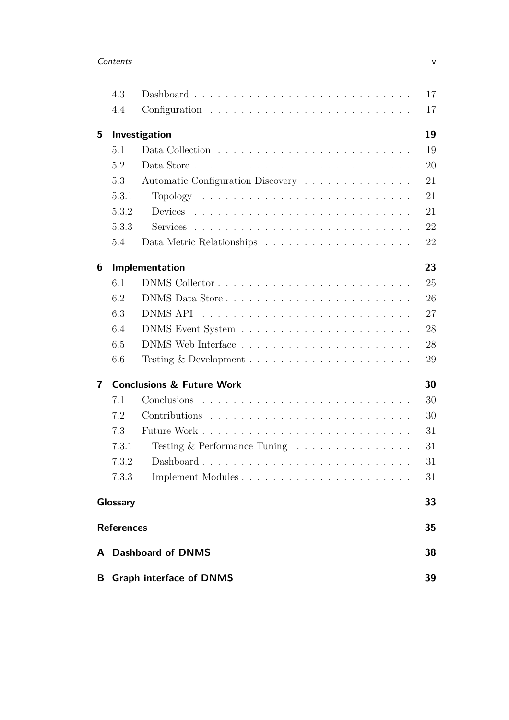|                         | 4.3                                        |                                                              | 17 |  |  |  |  |  |  |
|-------------------------|--------------------------------------------|--------------------------------------------------------------|----|--|--|--|--|--|--|
|                         | 4.4                                        |                                                              | 17 |  |  |  |  |  |  |
| 5                       | Investigation                              |                                                              |    |  |  |  |  |  |  |
|                         | 5.1                                        |                                                              | 19 |  |  |  |  |  |  |
|                         | 5.2                                        |                                                              | 20 |  |  |  |  |  |  |
|                         | 5.3                                        | Automatic Configuration Discovery                            | 21 |  |  |  |  |  |  |
|                         | 5.3.1                                      |                                                              | 21 |  |  |  |  |  |  |
|                         | 5.3.2                                      |                                                              | 21 |  |  |  |  |  |  |
|                         | 5.3.3                                      |                                                              | 22 |  |  |  |  |  |  |
|                         | 5.4                                        |                                                              | 22 |  |  |  |  |  |  |
| 6                       |                                            | Implementation                                               | 23 |  |  |  |  |  |  |
|                         | 6.1                                        |                                                              | 25 |  |  |  |  |  |  |
|                         | 6.2                                        |                                                              | 26 |  |  |  |  |  |  |
|                         | 6.3                                        |                                                              | 27 |  |  |  |  |  |  |
|                         | 6.4                                        |                                                              | 28 |  |  |  |  |  |  |
|                         | 6.5                                        |                                                              | 28 |  |  |  |  |  |  |
|                         | 6.6                                        |                                                              | 29 |  |  |  |  |  |  |
| $\overline{\mathbf{r}}$ | <b>Conclusions &amp; Future Work</b><br>30 |                                                              |    |  |  |  |  |  |  |
|                         | 7.1                                        |                                                              | 30 |  |  |  |  |  |  |
|                         | 7.2                                        |                                                              | 30 |  |  |  |  |  |  |
|                         | 7.3                                        |                                                              | 31 |  |  |  |  |  |  |
|                         | 7.3.1                                      | Testing $&$ Performance Tuning $\ldots \ldots \ldots \ldots$ | 31 |  |  |  |  |  |  |
|                         | 7.3.2                                      | Dashboard                                                    | 31 |  |  |  |  |  |  |
|                         | 7.3.3                                      |                                                              | 31 |  |  |  |  |  |  |
|                         | Glossary                                   |                                                              | 33 |  |  |  |  |  |  |
|                         | <b>References</b>                          |                                                              |    |  |  |  |  |  |  |
|                         |                                            | A Dashboard of DNMS                                          | 38 |  |  |  |  |  |  |
| B                       |                                            | <b>Graph interface of DNMS</b>                               | 39 |  |  |  |  |  |  |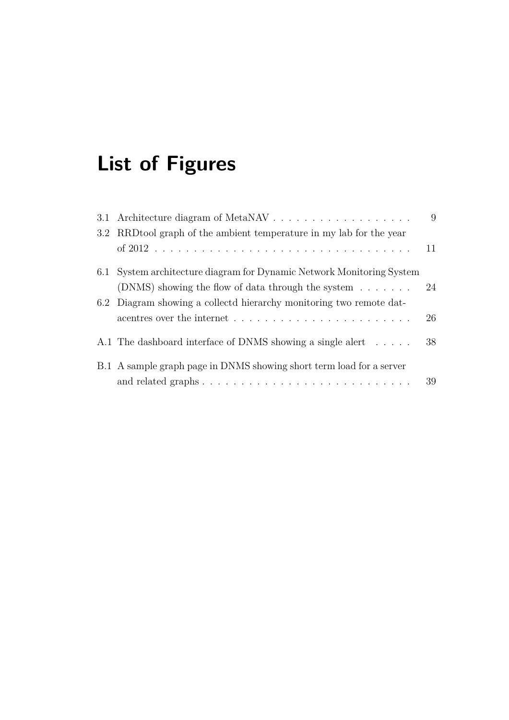# **List of Figures**

|                                                                                            | 9  |
|--------------------------------------------------------------------------------------------|----|
| 3.2 RRDtool graph of the ambient temperature in my lab for the year                        |    |
|                                                                                            |    |
| 6.1 System architecture diagram for Dynamic Network Monitoring System                      |    |
| (DNMS) showing the flow of data through the system $\dots \dots$                           | 24 |
| 6.2 Diagram showing a collectd hierarchy monitoring two remote dat-                        |    |
|                                                                                            | 26 |
| A.1 The dashboard interface of DNMS showing a single alert                                 | 38 |
| B.1 A sample graph page in DNMS showing short term load for a server                       |    |
| and related graphs $\ldots \ldots \ldots \ldots \ldots \ldots \ldots \ldots \ldots \ldots$ | 39 |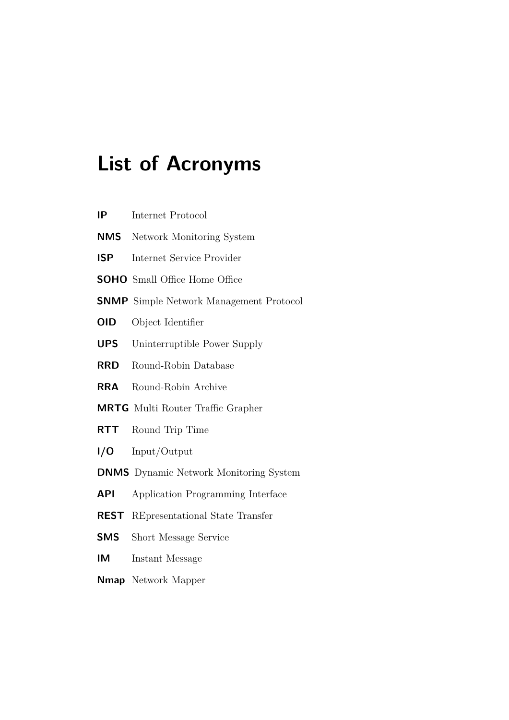# **List of Acronyms**

<span id="page-6-17"></span><span id="page-6-16"></span><span id="page-6-15"></span><span id="page-6-14"></span><span id="page-6-13"></span><span id="page-6-12"></span><span id="page-6-11"></span><span id="page-6-10"></span><span id="page-6-9"></span><span id="page-6-8"></span><span id="page-6-7"></span><span id="page-6-6"></span><span id="page-6-5"></span><span id="page-6-4"></span><span id="page-6-3"></span><span id="page-6-2"></span><span id="page-6-1"></span><span id="page-6-0"></span>

| IP                                      | Internet Protocol                              |  |
|-----------------------------------------|------------------------------------------------|--|
| <b>NMS</b><br>Network Monitoring System |                                                |  |
| <b>ISP</b>                              | Internet Service Provider                      |  |
|                                         | <b>SOHO</b> Small Office Home Office           |  |
|                                         | <b>SNMP</b> Simple Network Management Protocol |  |
| <b>OID</b>                              | Object Identifier                              |  |
| <b>UPS</b>                              | Uninterruptible Power Supply                   |  |
| <b>RRD</b>                              | Round-Robin Database                           |  |
| <b>RRA</b>                              | Round-Robin Archive                            |  |
|                                         | <b>MRTG</b> Multi Router Traffic Grapher       |  |
| <b>RTT</b>                              | Round Trip Time                                |  |
| 1/0                                     | Input/Output                                   |  |
|                                         | <b>DNMS</b> Dynamic Network Monitoring System  |  |
| API                                     | Application Programming Interface              |  |
| <b>REST</b>                             | REpresentational State Transfer                |  |
| SMS                                     | Short Message Service                          |  |
| IM                                      | Instant Message                                |  |
| <b>Nmap</b> Network Mapper              |                                                |  |
|                                         |                                                |  |
|                                         |                                                |  |
|                                         |                                                |  |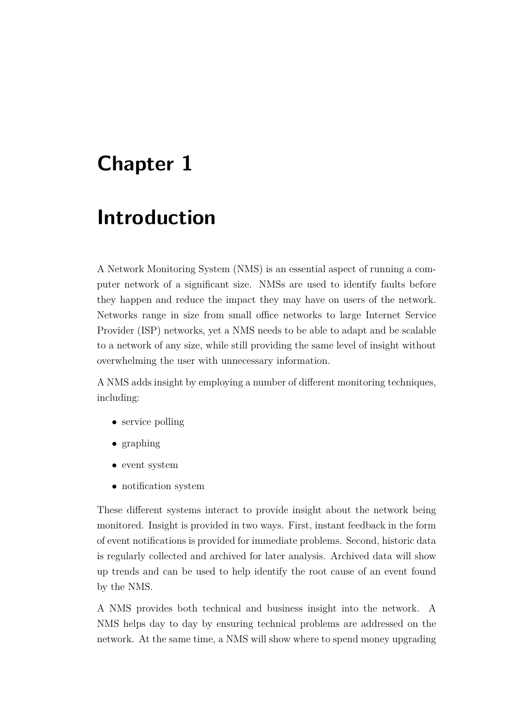## <span id="page-7-0"></span>**Chapter 1**

## **Introduction**

A Network Monitoring System [\(NMS\)](#page-6-1) is an essential aspect of running a computer network of a significant size. [NMSs](#page-6-1) are used to identify faults before they happen and reduce the impact they may have on users of the network. Networks range in size from small office networks to large Internet Service Provider [\(ISP\)](#page-6-2) networks, yet a [NMS](#page-6-1) needs to be able to adapt and be scalable to a network of any size, while still providing the same level of insight without overwhelming the user with unnecessary information.

A [NMS](#page-6-1) adds insight by employing a number of different monitoring techniques, including:

- service polling
- graphing
- event system
- notification system

These different systems interact to provide insight about the network being monitored. Insight is provided in two ways. First, instant feedback in the form of event notifications is provided for immediate problems. Second, historic data is regularly collected and archived for later analysis. Archived data will show up trends and can be used to help identify the root cause of an event found by the [NMS.](#page-6-1)

A [NMS](#page-6-1) provides both technical and business insight into the network. A [NMS](#page-6-1) helps day to day by ensuring technical problems are addressed on the network. At the same time, a [NMS](#page-6-1) will show where to spend money upgrading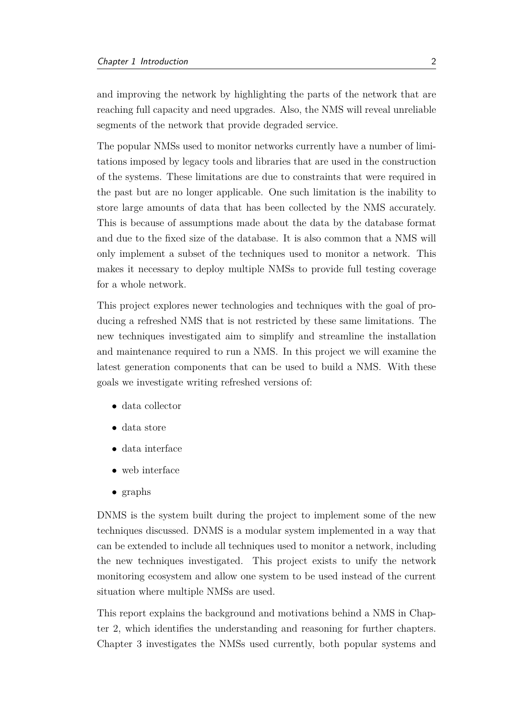and improving the network by highlighting the parts of the network that are reaching full capacity and need upgrades. Also, the [NMS](#page-6-1) will reveal unreliable segments of the network that provide degraded service.

The popular [NMSs](#page-6-1) used to monitor networks currently have a number of limitations imposed by legacy tools and libraries that are used in the construction of the systems. These limitations are due to constraints that were required in the past but are no longer applicable. One such limitation is the inability to store large amounts of data that has been collected by the [NMS](#page-6-1) accurately. This is because of assumptions made about the data by the database format and due to the fixed size of the database. It is also common that a [NMS](#page-6-1) will only implement a subset of the techniques used to monitor a network. This makes it necessary to deploy multiple [NMSs](#page-6-1) to provide full testing coverage for a whole network.

This project explores newer technologies and techniques with the goal of producing a refreshed [NMS](#page-6-1) that is not restricted by these same limitations. The new techniques investigated aim to simplify and streamline the installation and maintenance required to run a [NMS.](#page-6-1) In this project we will examine the latest generation components that can be used to build a [NMS.](#page-6-1) With these goals we investigate writing refreshed versions of:

- data collector
- data store
- data interface
- web interface
- graphs

[DNMS](#page-6-0) is the system built during the project to implement some of the new techniques discussed. [DNMS](#page-6-0) is a modular system implemented in a way that can be extended to include all techniques used to monitor a network, including the new techniques investigated. This project exists to unify the network monitoring ecosystem and allow one system to be used instead of the current situation where multiple [NMSs](#page-6-1) are used.

This report explains the background and motivations behind a [NMS](#page-6-1) in Chapter 2, which identifies the understanding and reasoning for further chapters. Chapter 3 investigates the [NMSs](#page-6-1) used currently, both popular systems and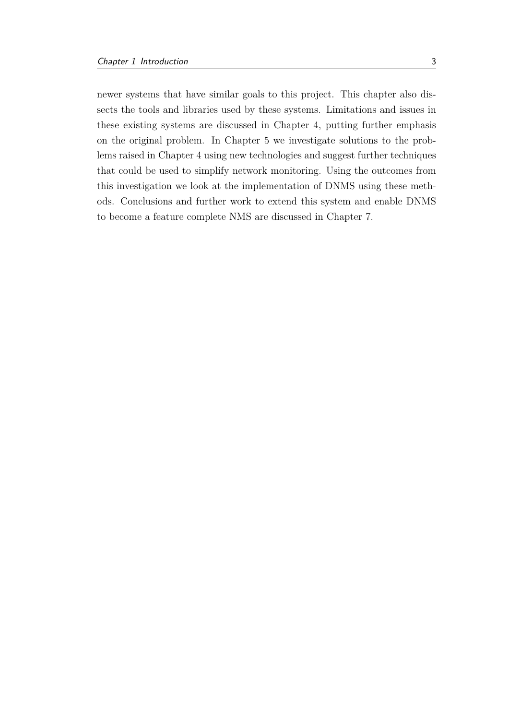newer systems that have similar goals to this project. This chapter also dissects the tools and libraries used by these systems. Limitations and issues in these existing systems are discussed in Chapter 4, putting further emphasis on the original problem. In Chapter 5 we investigate solutions to the problems raised in Chapter 4 using new technologies and suggest further techniques that could be used to simplify network monitoring. Using the outcomes from this investigation we look at the implementation of [DNMS](#page-6-0) using these methods. Conclusions and further work to extend this system and enable [DNMS](#page-6-0) to become a feature complete [NMS](#page-6-1) are discussed in Chapter 7.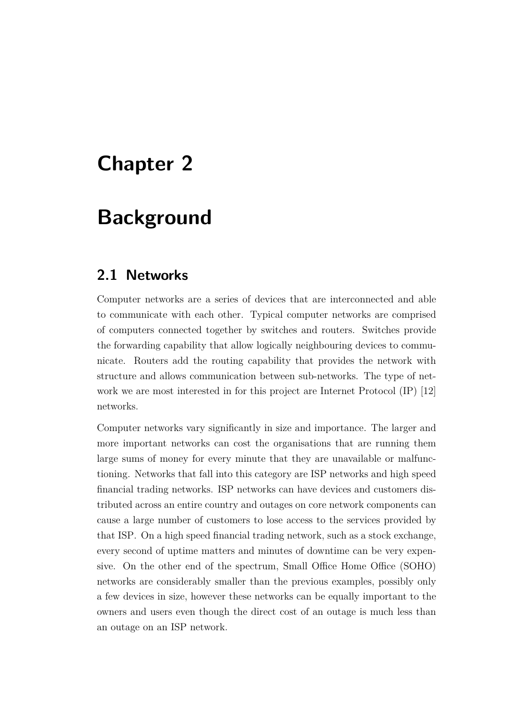## <span id="page-10-0"></span>**Chapter 2**

## **Background**

### <span id="page-10-1"></span>**2.1 Networks**

Computer networks are a series of devices that are interconnected and able to communicate with each other. Typical computer networks are comprised of computers connected together by switches and routers. Switches provide the forwarding capability that allow logically neighbouring devices to communicate. Routers add the routing capability that provides the network with structure and allows communication between sub-networks. The type of network we are most interested in for this project are Internet Protocol [\(IP\)](#page-6-3) [\[12\]](#page-42-0) networks.

Computer networks vary significantly in size and importance. The larger and more important networks can cost the organisations that are running them large sums of money for every minute that they are unavailable or malfunctioning. Networks that fall into this category are [ISP](#page-6-2) networks and high speed financial trading networks. [ISP](#page-6-2) networks can have devices and customers distributed across an entire country and outages on core network components can cause a large number of customers to lose access to the services provided by that [ISP.](#page-6-2) On a high speed financial trading network, such as a stock exchange, every second of uptime matters and minutes of downtime can be very expensive. On the other end of the spectrum, Small Office Home Office [\(SOHO\)](#page-6-4) networks are considerably smaller than the previous examples, possibly only a few devices in size, however these networks can be equally important to the owners and users even though the direct cost of an outage is much less than an outage on an [ISP](#page-6-2) network.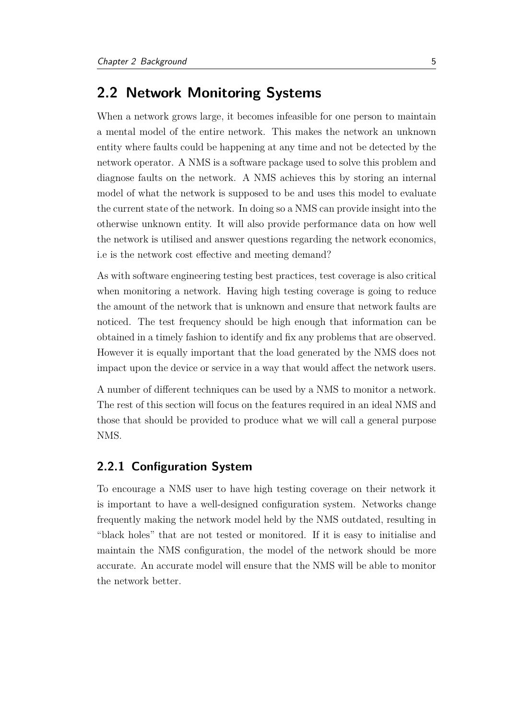### <span id="page-11-0"></span>**2.2 Network Monitoring Systems**

When a network grows large, it becomes infeasible for one person to maintain a mental model of the entire network. This makes the network an unknown entity where faults could be happening at any time and not be detected by the network operator. A [NMS](#page-6-1) is a software package used to solve this problem and diagnose faults on the network. A [NMS](#page-6-1) achieves this by storing an internal model of what the network is supposed to be and uses this model to evaluate the current state of the network. In doing so a [NMS](#page-6-1) can provide insight into the otherwise unknown entity. It will also provide performance data on how well the network is utilised and answer questions regarding the network economics, i.e is the network cost effective and meeting demand?

As with software engineering testing best practices, test coverage is also critical when monitoring a network. Having high testing coverage is going to reduce the amount of the network that is unknown and ensure that network faults are noticed. The test frequency should be high enough that information can be obtained in a timely fashion to identify and fix any problems that are observed. However it is equally important that the load generated by the [NMS](#page-6-1) does not impact upon the device or service in a way that would affect the network users.

A number of different techniques can be used by a [NMS](#page-6-1) to monitor a network. The rest of this section will focus on the features required in an ideal [NMS](#page-6-1) and those that should be provided to produce what we will call a general purpose [NMS.](#page-6-1)

### <span id="page-11-1"></span>**2.2.1 Configuration System**

To encourage a [NMS](#page-6-1) user to have high testing coverage on their network it is important to have a well-designed configuration system. Networks change frequently making the network model held by the [NMS](#page-6-1) outdated, resulting in "black holes" that are not tested or monitored. If it is easy to initialise and maintain the [NMS](#page-6-1) configuration, the model of the network should be more accurate. An accurate model will ensure that the [NMS](#page-6-1) will be able to monitor the network better.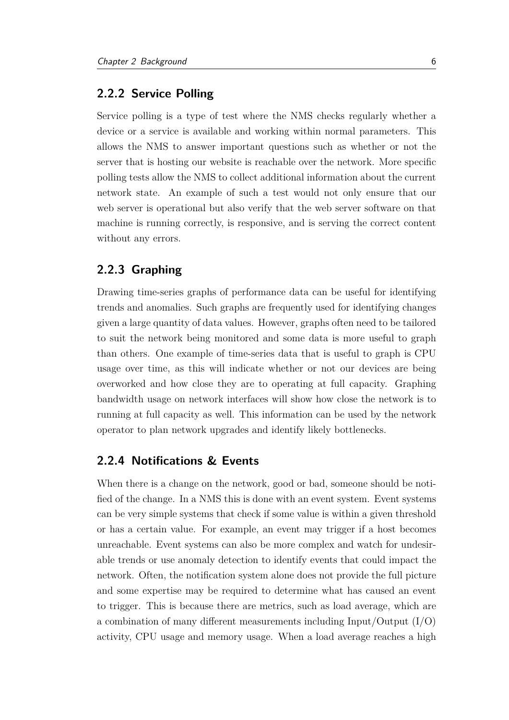#### <span id="page-12-0"></span>**2.2.2 Service Polling**

Service polling is a type of test where the [NMS](#page-6-1) checks regularly whether a device or a service is available and working within normal parameters. This allows the [NMS](#page-6-1) to answer important questions such as whether or not the server that is hosting our website is reachable over the network. More specific polling tests allow the [NMS](#page-6-1) to collect additional information about the current network state. An example of such a test would not only ensure that our web server is operational but also verify that the web server software on that machine is running correctly, is responsive, and is serving the correct content without any errors.

#### <span id="page-12-1"></span>**2.2.3 Graphing**

Drawing time-series graphs of performance data can be useful for identifying trends and anomalies. Such graphs are frequently used for identifying changes given a large quantity of data values. However, graphs often need to be tailored to suit the network being monitored and some data is more useful to graph than others. One example of time-series data that is useful to graph is CPU usage over time, as this will indicate whether or not our devices are being overworked and how close they are to operating at full capacity. Graphing bandwidth usage on network interfaces will show how close the network is to running at full capacity as well. This information can be used by the network operator to plan network upgrades and identify likely bottlenecks.

#### <span id="page-12-2"></span>**2.2.4 Notifications & Events**

When there is a change on the network, good or bad, someone should be notified of the change. In a [NMS](#page-6-1) this is done with an event system. Event systems can be very simple systems that check if some value is within a given threshold or has a certain value. For example, an event may trigger if a host becomes unreachable. Event systems can also be more complex and watch for undesirable trends or use anomaly detection to identify events that could impact the network. Often, the notification system alone does not provide the full picture and some expertise may be required to determine what has caused an event to trigger. This is because there are metrics, such as load average, which are a combination of many different measurements including Input/Output [\(I/O\)](#page-6-5) activity, CPU usage and memory usage. When a load average reaches a high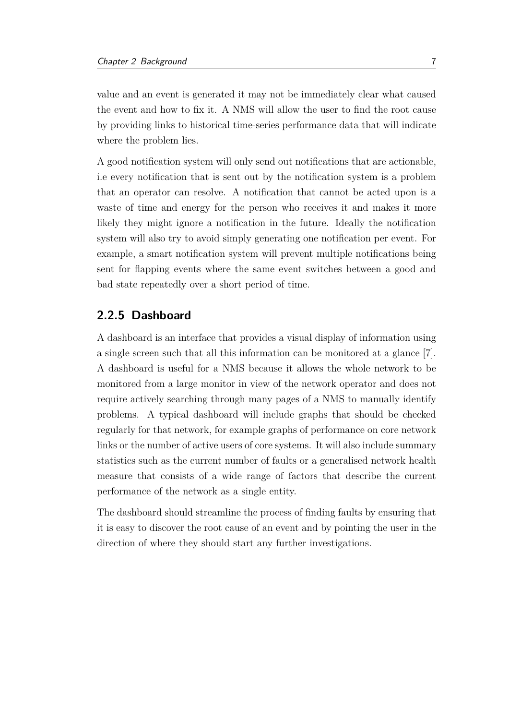value and an event is generated it may not be immediately clear what caused the event and how to fix it. A [NMS](#page-6-1) will allow the user to find the root cause by providing links to historical time-series performance data that will indicate where the problem lies.

A good notification system will only send out notifications that are actionable, i.e every notification that is sent out by the notification system is a problem that an operator can resolve. A notification that cannot be acted upon is a waste of time and energy for the person who receives it and makes it more likely they might ignore a notification in the future. Ideally the notification system will also try to avoid simply generating one notification per event. For example, a smart notification system will prevent multiple notifications being sent for flapping events where the same event switches between a good and bad state repeatedly over a short period of time.

#### <span id="page-13-0"></span>**2.2.5 Dashboard**

A dashboard is an interface that provides a visual display of information using a single screen such that all this information can be monitored at a glance [\[7\]](#page-41-1). A dashboard is useful for a [NMS](#page-6-1) because it allows the whole network to be monitored from a large monitor in view of the network operator and does not require actively searching through many pages of a [NMS](#page-6-1) to manually identify problems. A typical dashboard will include graphs that should be checked regularly for that network, for example graphs of performance on core network links or the number of active users of core systems. It will also include summary statistics such as the current number of faults or a generalised network health measure that consists of a wide range of factors that describe the current performance of the network as a single entity.

The dashboard should streamline the process of finding faults by ensuring that it is easy to discover the root cause of an event and by pointing the user in the direction of where they should start any further investigations.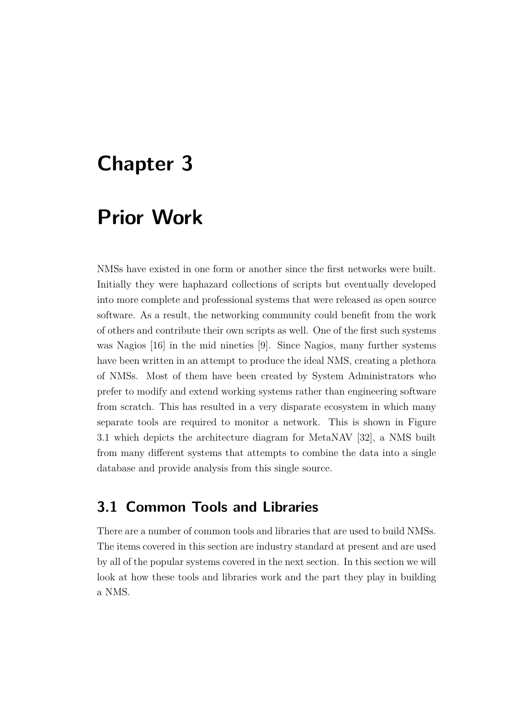## <span id="page-14-0"></span>**Chapter 3**

## **Prior Work**

[NMSs](#page-6-1) have existed in one form or another since the first networks were built. Initially they were haphazard collections of scripts but eventually developed into more complete and professional systems that were released as open source software. As a result, the networking community could benefit from the work of others and contribute their own scripts as well. One of the first such systems was Nagios [\[16\]](#page-42-1) in the mid nineties [\[9\]](#page-41-2). Since Nagios, many further systems have been written in an attempt to produce the ideal [NMS,](#page-6-1) creating a plethora of [NMSs](#page-6-1). Most of them have been created by System Administrators who prefer to modify and extend working systems rather than engineering software from scratch. This has resulted in a very disparate ecosystem in which many separate tools are required to monitor a network. This is shown in Figure [3.1](#page-15-1) which depicts the architecture diagram for MetaNAV [\[32\]](#page-43-0), a [NMS](#page-6-1) built from many different systems that attempts to combine the data into a single database and provide analysis from this single source.

## <span id="page-14-1"></span>**3.1 Common Tools and Libraries**

There are a number of common tools and libraries that are used to build [NMSs](#page-6-1). The items covered in this section are industry standard at present and are used by all of the popular systems covered in the next section. In this section we will look at how these tools and libraries work and the part they play in building a [NMS.](#page-6-1)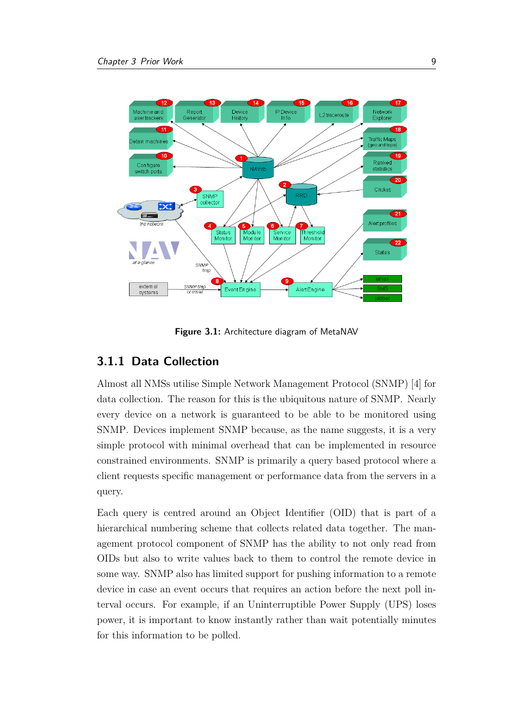<span id="page-15-1"></span>

**Figure 3.1:** Architecture diagram of MetaNAV

#### <span id="page-15-0"></span>**3.1.1 Data Collection**

Almost all [NMSs](#page-6-1) utilise Simple Network Management Protocol [\(SNMP\)](#page-6-6) [\[4\]](#page-41-3) for data collection. The reason for this is the ubiquitous nature of [SNMP.](#page-6-6) Nearly every device on a network is guaranteed to be able to be monitored using [SNMP.](#page-6-6) Devices implement [SNMP](#page-6-6) because, as the name suggests, it is a very simple protocol with minimal overhead that can be implemented in resource constrained environments. [SNMP](#page-6-6) is primarily a query based protocol where a client requests specific management or performance data from the servers in a query.

Each query is centred around an Object Identifier [\(OID\)](#page-6-7) that is part of a hierarchical numbering scheme that collects related data together. The management protocol component of [SNMP](#page-6-6) has the ability to not only read from [OIDs](#page-6-7) but also to write values back to them to control the remote device in some way. [SNMP](#page-6-6) also has limited support for pushing information to a remote device in case an event occurs that requires an action before the next poll interval occurs. For example, if an Uninterruptible Power Supply [\(UPS\)](#page-6-8) loses power, it is important to know instantly rather than wait potentially minutes for this information to be polled.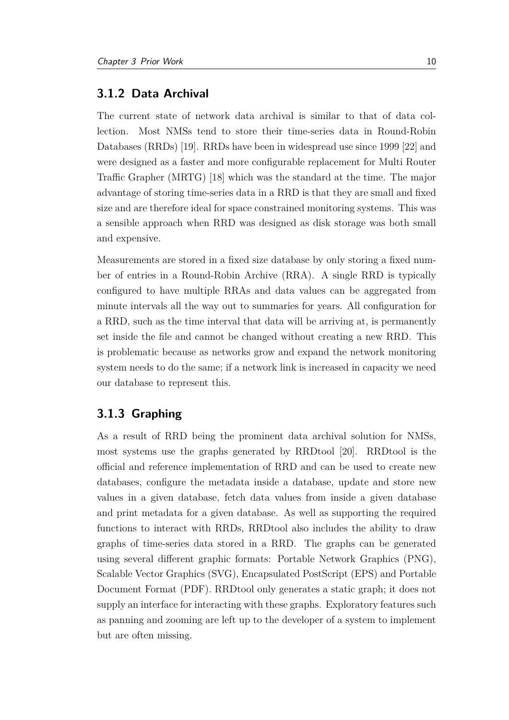#### <span id="page-16-0"></span>**3.1.2 Data Archival**

The current state of network data archival is similar to that of data collection. Most [NMSs](#page-6-1) tend to store their time-series data in Round-Robin Databases [\(RRDs](#page-6-9)) [\[19\]](#page-42-2). [RRDs](#page-6-9) have been in widespread use since 1999 [\[22\]](#page-42-3) and were designed as a faster and more configurable replacement for Multi Router Traffic Grapher [\(MRTG\)](#page-6-10) [\[18\]](#page-42-4) which was the standard at the time. The major advantage of storing time-series data in a [RRD](#page-6-9) is that they are small and fixed size and are therefore ideal for space constrained monitoring systems. This was a sensible approach when [RRD](#page-6-9) was designed as disk storage was both small and expensive.

Measurements are stored in a fixed size database by only storing a fixed number of entries in a Round-Robin Archive [\(RRA\)](#page-6-11). A single [RRD](#page-6-9) is typically configured to have multiple [RRAs](#page-6-11) and data values can be aggregated from minute intervals all the way out to summaries for years. All configuration for a [RRD,](#page-6-9) such as the time interval that data will be arriving at, is permanently set inside the file and cannot be changed without creating a new [RRD.](#page-6-9) This is problematic because as networks grow and expand the network monitoring system needs to do the same; if a network link is increased in capacity we need our database to represent this.

#### <span id="page-16-1"></span>**3.1.3 Graphing**

As a result of [RRD](#page-6-9) being the prominent data archival solution for [NMSs](#page-6-1), most systems use the graphs generated by RRDtool [\[20\]](#page-42-5). RRDtool is the official and reference implementation of [RRD](#page-6-9) and can be used to create new databases, configure the metadata inside a database, update and store new values in a given database, fetch data values from inside a given database and print metadata for a given database. As well as supporting the required functions to interact with [RRDs](#page-6-9), RRDtool also includes the ability to draw graphs of time-series data stored in a [RRD.](#page-6-9) The graphs can be generated using several different graphic formats: Portable Network Graphics (PNG), Scalable Vector Graphics (SVG), Encapsulated PostScript (EPS) and Portable Document Format (PDF). RRDtool only generates a static graph; it does not supply an interface for interacting with these graphs. Exploratory features such as panning and zooming are left up to the developer of a system to implement but are often missing.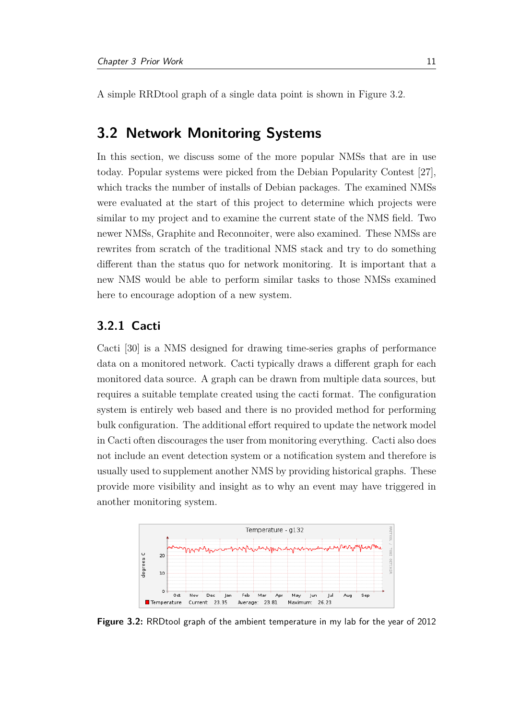A simple RRDtool graph of a single data point is shown in Figure [3.2.](#page-17-2)

### <span id="page-17-0"></span>**3.2 Network Monitoring Systems**

In this section, we discuss some of the more popular [NMSs](#page-6-1) that are in use today. Popular systems were picked from the Debian Popularity Contest [\[27\]](#page-43-1), which tracks the number of installs of Debian packages. The examined [NMSs](#page-6-1) were evaluated at the start of this project to determine which projects were similar to my project and to examine the current state of the [NMS](#page-6-1) field. Two newer [NMSs](#page-6-1), Graphite and Reconnoiter, were also examined. These [NMSs](#page-6-1) are rewrites from scratch of the traditional [NMS](#page-6-1) stack and try to do something different than the status quo for network monitoring. It is important that a new [NMS](#page-6-1) would be able to perform similar tasks to those [NMSs](#page-6-1) examined here to encourage adoption of a new system.

#### <span id="page-17-1"></span>**3.2.1 Cacti**

Cacti [\[30\]](#page-43-2) is a [NMS](#page-6-1) designed for drawing time-series graphs of performance data on a monitored network. Cacti typically draws a different graph for each monitored data source. A graph can be drawn from multiple data sources, but requires a suitable template created using the cacti format. The configuration system is entirely web based and there is no provided method for performing bulk configuration. The additional effort required to update the network model in Cacti often discourages the user from monitoring everything. Cacti also does not include an event detection system or a notification system and therefore is usually used to supplement another [NMS](#page-6-1) by providing historical graphs. These provide more visibility and insight as to why an event may have triggered in another monitoring system.

<span id="page-17-2"></span>

**Figure 3.2:** RRDtool graph of the ambient temperature in my lab for the year of 2012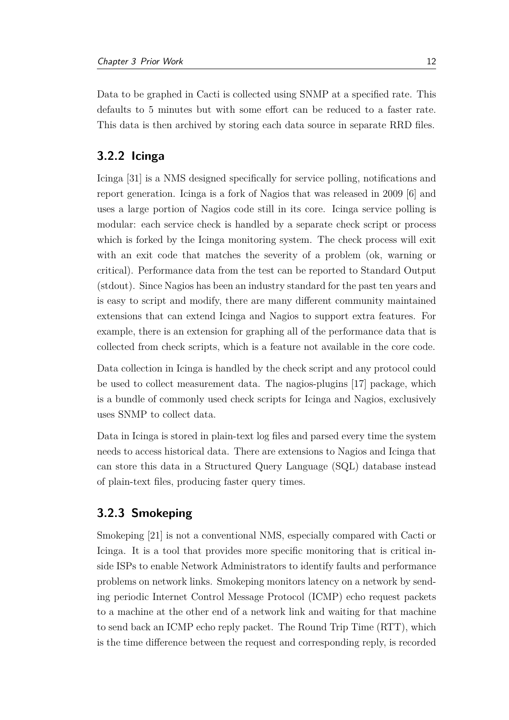Data to be graphed in Cacti is collected using [SNMP](#page-6-6) at a specified rate. This defaults to 5 minutes but with some effort can be reduced to a faster rate. This data is then archived by storing each data source in separate [RRD](#page-6-9) files.

#### <span id="page-18-0"></span>**3.2.2 Icinga**

Icinga [\[31\]](#page-43-3) is a [NMS](#page-6-1) designed specifically for service polling, notifications and report generation. Icinga is a fork of Nagios that was released in 2009 [\[6\]](#page-41-4) and uses a large portion of Nagios code still in its core. Icinga service polling is modular: each service check is handled by a separate check script or process which is forked by the Icinga monitoring system. The check process will exit with an exit code that matches the severity of a problem (ok, warning or critical). Performance data from the test can be reported to Standard Output (stdout). Since Nagios has been an industry standard for the past ten years and is easy to script and modify, there are many different community maintained extensions that can extend Icinga and Nagios to support extra features. For example, there is an extension for graphing all of the performance data that is collected from check scripts, which is a feature not available in the core code.

Data collection in Icinga is handled by the check script and any protocol could be used to collect measurement data. The nagios-plugins [\[17\]](#page-42-6) package, which is a bundle of commonly used check scripts for Icinga and Nagios, exclusively uses [SNMP](#page-6-6) to collect data.

Data in Icinga is stored in plain-text log files and parsed every time the system needs to access historical data. There are extensions to Nagios and Icinga that can store this data in a Structured Query Language (SQL) database instead of plain-text files, producing faster query times.

#### <span id="page-18-1"></span>**3.2.3 Smokeping**

Smokeping [\[21\]](#page-42-7) is not a conventional [NMS,](#page-6-1) especially compared with Cacti or Icinga. It is a tool that provides more specific monitoring that is critical inside [ISPs](#page-6-2) to enable Network Administrators to identify faults and performance problems on network links. Smokeping monitors latency on a network by sending periodic Internet Control Message Protocol (ICMP) echo request packets to a machine at the other end of a network link and waiting for that machine to send back an ICMP echo reply packet. The Round Trip Time [\(RTT\)](#page-6-12), which is the time difference between the request and corresponding reply, is recorded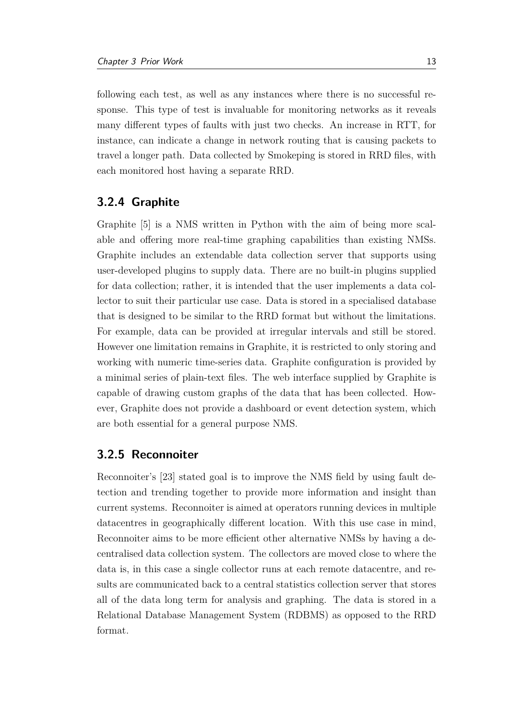following each test, as well as any instances where there is no successful response. This type of test is invaluable for monitoring networks as it reveals many different types of faults with just two checks. An increase in [RTT,](#page-6-12) for instance, can indicate a change in network routing that is causing packets to travel a longer path. Data collected by Smokeping is stored in [RRD](#page-6-9) files, with each monitored host having a separate [RRD.](#page-6-9)

#### <span id="page-19-0"></span>**3.2.4 Graphite**

Graphite [\[5\]](#page-41-5) is a [NMS](#page-6-1) written in Python with the aim of being more scalable and offering more real-time graphing capabilities than existing [NMSs](#page-6-1). Graphite includes an extendable data collection server that supports using user-developed plugins to supply data. There are no built-in plugins supplied for data collection; rather, it is intended that the user implements a data collector to suit their particular use case. Data is stored in a specialised database that is designed to be similar to the [RRD](#page-6-9) format but without the limitations. For example, data can be provided at irregular intervals and still be stored. However one limitation remains in Graphite, it is restricted to only storing and working with numeric time-series data. Graphite configuration is provided by a minimal series of plain-text files. The web interface supplied by Graphite is capable of drawing custom graphs of the data that has been collected. However, Graphite does not provide a dashboard or event detection system, which are both essential for a general purpose [NMS.](#page-6-1)

#### <span id="page-19-1"></span>**3.2.5 Reconnoiter**

Reconnoiter's [\[23\]](#page-42-8) stated goal is to improve the [NMS](#page-6-1) field by using fault detection and trending together to provide more information and insight than current systems. Reconnoiter is aimed at operators running devices in multiple datacentres in geographically different location. With this use case in mind, Reconnoiter aims to be more efficient other alternative [NMSs](#page-6-1) by having a decentralised data collection system. The collectors are moved close to where the data is, in this case a single collector runs at each remote datacentre, and results are communicated back to a central statistics collection server that stores all of the data long term for analysis and graphing. The data is stored in a Relational Database Management System (RDBMS) as opposed to the [RRD](#page-6-9) format.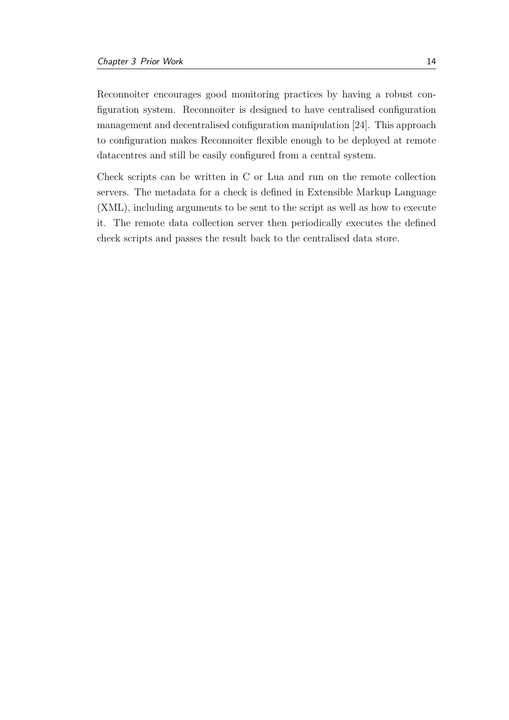Reconnoiter encourages good monitoring practices by having a robust configuration system. Reconnoiter is designed to have centralised configuration management and decentralised configuration manipulation [\[24\]](#page-42-9). This approach to configuration makes Reconnoiter flexible enough to be deployed at remote datacentres and still be easily configured from a central system.

Check scripts can be written in C or Lua and run on the remote collection servers. The metadata for a check is defined in Extensible Markup Language (XML), including arguments to be sent to the script as well as how to execute it. The remote data collection server then periodically executes the defined check scripts and passes the result back to the centralised data store.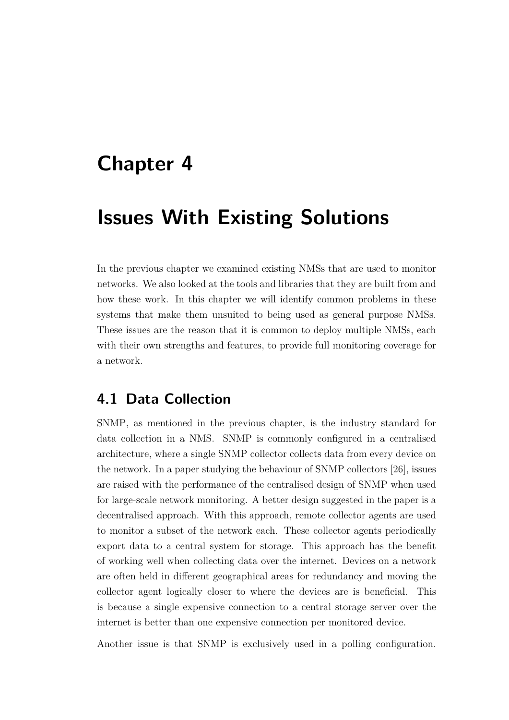## <span id="page-21-0"></span>**Chapter 4**

## **Issues With Existing Solutions**

In the previous chapter we examined existing [NMSs](#page-6-1) that are used to monitor networks. We also looked at the tools and libraries that they are built from and how these work. In this chapter we will identify common problems in these systems that make them unsuited to being used as general purpose [NMSs](#page-6-1). These issues are the reason that it is common to deploy multiple [NMSs](#page-6-1), each with their own strengths and features, to provide full monitoring coverage for a network.

### <span id="page-21-1"></span>**4.1 Data Collection**

[SNMP,](#page-6-6) as mentioned in the previous chapter, is the industry standard for data collection in a [NMS.](#page-6-1) [SNMP](#page-6-6) is commonly configured in a centralised architecture, where a single [SNMP](#page-6-6) collector collects data from every device on the network. In a paper studying the behaviour of SNMP collectors [\[26\]](#page-43-4), issues are raised with the performance of the centralised design of [SNMP](#page-6-6) when used for large-scale network monitoring. A better design suggested in the paper is a decentralised approach. With this approach, remote collector agents are used to monitor a subset of the network each. These collector agents periodically export data to a central system for storage. This approach has the benefit of working well when collecting data over the internet. Devices on a network are often held in different geographical areas for redundancy and moving the collector agent logically closer to where the devices are is beneficial. This is because a single expensive connection to a central storage server over the internet is better than one expensive connection per monitored device.

Another issue is that [SNMP](#page-6-6) is exclusively used in a polling configuration.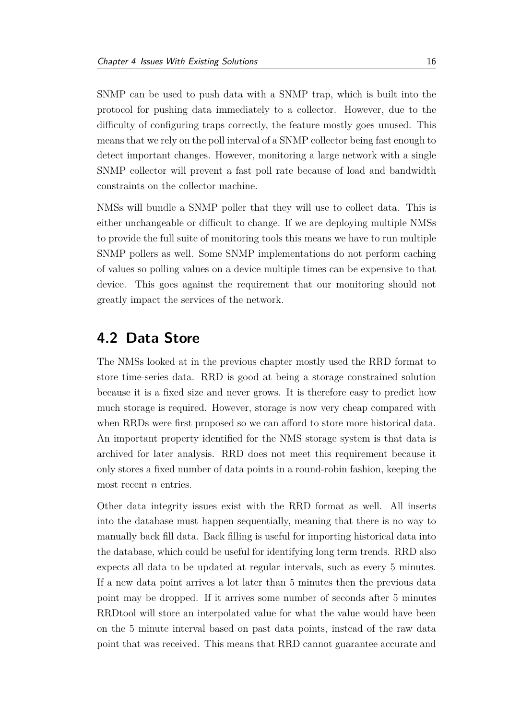[SNMP](#page-6-6) can be used to push data with a [SNMP](#page-6-6) trap, which is built into the protocol for pushing data immediately to a collector. However, due to the difficulty of configuring traps correctly, the feature mostly goes unused. This means that we rely on the poll interval of a [SNMP](#page-6-6) collector being fast enough to detect important changes. However, monitoring a large network with a single [SNMP](#page-6-6) collector will prevent a fast poll rate because of load and bandwidth constraints on the collector machine.

[NMSs](#page-6-1) will bundle a [SNMP](#page-6-6) poller that they will use to collect data. This is either unchangeable or difficult to change. If we are deploying multiple [NMSs](#page-6-1) to provide the full suite of monitoring tools this means we have to run multiple [SNMP](#page-6-6) pollers as well. Some [SNMP](#page-6-6) implementations do not perform caching of values so polling values on a device multiple times can be expensive to that device. This goes against the requirement that our monitoring should not greatly impact the services of the network.

### <span id="page-22-0"></span>**4.2 Data Store**

The [NMSs](#page-6-1) looked at in the previous chapter mostly used the [RRD](#page-6-9) format to store time-series data. [RRD](#page-6-9) is good at being a storage constrained solution because it is a fixed size and never grows. It is therefore easy to predict how much storage is required. However, storage is now very cheap compared with when [RRDs](#page-6-9) were first proposed so we can afford to store more historical data. An important property identified for the [NMS](#page-6-1) storage system is that data is archived for later analysis. [RRD](#page-6-9) does not meet this requirement because it only stores a fixed number of data points in a round-robin fashion, keeping the most recent *n* entries.

Other data integrity issues exist with the [RRD](#page-6-9) format as well. All inserts into the database must happen sequentially, meaning that there is no way to manually back fill data. Back filling is useful for importing historical data into the database, which could be useful for identifying long term trends. [RRD](#page-6-9) also expects all data to be updated at regular intervals, such as every 5 minutes. If a new data point arrives a lot later than 5 minutes then the previous data point may be dropped. If it arrives some number of seconds after 5 minutes RRDtool will store an interpolated value for what the value would have been on the 5 minute interval based on past data points, instead of the raw data point that was received. This means that [RRD](#page-6-9) cannot guarantee accurate and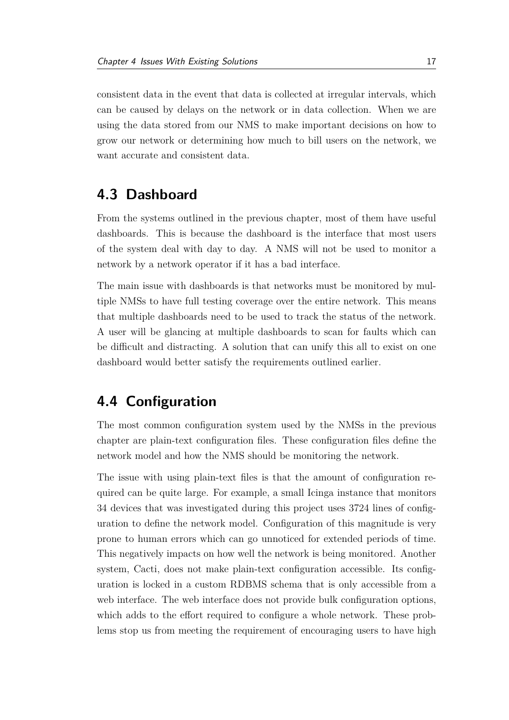consistent data in the event that data is collected at irregular intervals, which can be caused by delays on the network or in data collection. When we are using the data stored from our [NMS](#page-6-1) to make important decisions on how to grow our network or determining how much to bill users on the network, we want accurate and consistent data.

### <span id="page-23-0"></span>**4.3 Dashboard**

From the systems outlined in the previous chapter, most of them have useful dashboards. This is because the dashboard is the interface that most users of the system deal with day to day. A [NMS](#page-6-1) will not be used to monitor a network by a network operator if it has a bad interface.

The main issue with dashboards is that networks must be monitored by multiple [NMSs](#page-6-1) to have full testing coverage over the entire network. This means that multiple dashboards need to be used to track the status of the network. A user will be glancing at multiple dashboards to scan for faults which can be difficult and distracting. A solution that can unify this all to exist on one dashboard would better satisfy the requirements outlined earlier.

### <span id="page-23-1"></span>**4.4 Configuration**

The most common configuration system used by the [NMSs](#page-6-1) in the previous chapter are plain-text configuration files. These configuration files define the network model and how the [NMS](#page-6-1) should be monitoring the network.

The issue with using plain-text files is that the amount of configuration required can be quite large. For example, a small Icinga instance that monitors 34 devices that was investigated during this project uses 3724 lines of configuration to define the network model. Configuration of this magnitude is very prone to human errors which can go unnoticed for extended periods of time. This negatively impacts on how well the network is being monitored. Another system, Cacti, does not make plain-text configuration accessible. Its configuration is locked in a custom RDBMS schema that is only accessible from a web interface. The web interface does not provide bulk configuration options, which adds to the effort required to configure a whole network. These problems stop us from meeting the requirement of encouraging users to have high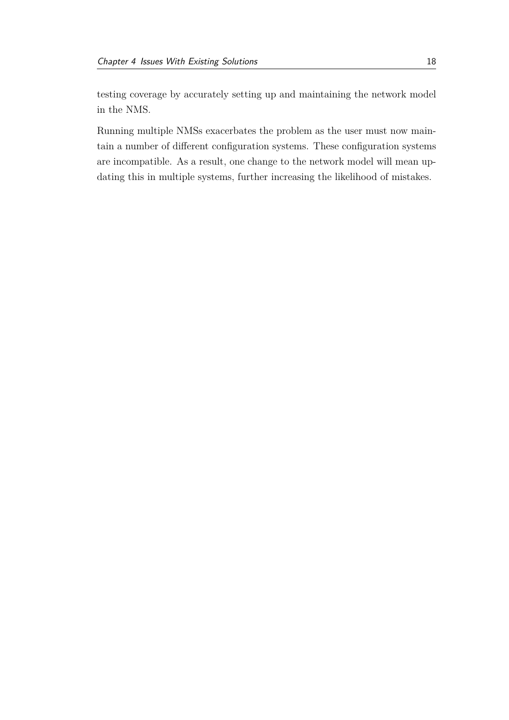testing coverage by accurately setting up and maintaining the network model in the [NMS.](#page-6-1)

Running multiple [NMSs](#page-6-1) exacerbates the problem as the user must now maintain a number of different configuration systems. These configuration systems are incompatible. As a result, one change to the network model will mean updating this in multiple systems, further increasing the likelihood of mistakes.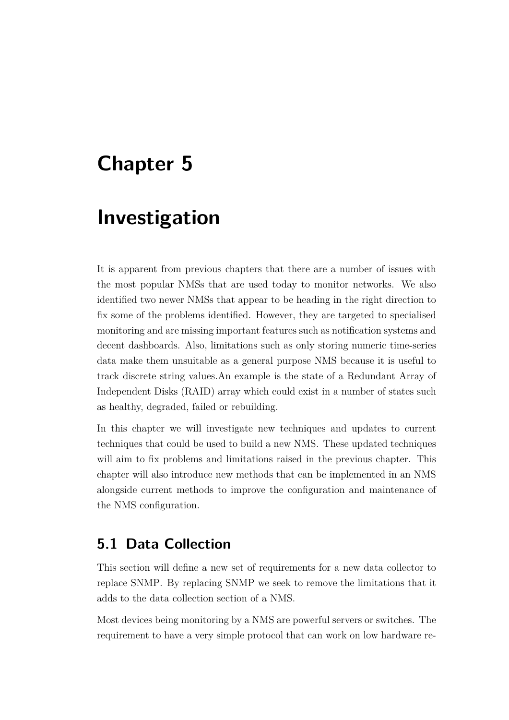## <span id="page-25-0"></span>**Chapter 5**

## **Investigation**

It is apparent from previous chapters that there are a number of issues with the most popular [NMSs](#page-6-1) that are used today to monitor networks. We also identified two newer [NMSs](#page-6-1) that appear to be heading in the right direction to fix some of the problems identified. However, they are targeted to specialised monitoring and are missing important features such as notification systems and decent dashboards. Also, limitations such as only storing numeric time-series data make them unsuitable as a general purpose [NMS](#page-6-1) because it is useful to track discrete string values.An example is the state of a Redundant Array of Independent Disks (RAID) array which could exist in a number of states such as healthy, degraded, failed or rebuilding.

In this chapter we will investigate new techniques and updates to current techniques that could be used to build a new [NMS.](#page-6-1) These updated techniques will aim to fix problems and limitations raised in the previous chapter. This chapter will also introduce new methods that can be implemented in an [NMS](#page-6-1) alongside current methods to improve the configuration and maintenance of the [NMS](#page-6-1) configuration.

### <span id="page-25-1"></span>**5.1 Data Collection**

This section will define a new set of requirements for a new data collector to replace [SNMP.](#page-6-6) By replacing [SNMP](#page-6-6) we seek to remove the limitations that it adds to the data collection section of a [NMS.](#page-6-1)

Most devices being monitoring by a [NMS](#page-6-1) are powerful servers or switches. The requirement to have a very simple protocol that can work on low hardware re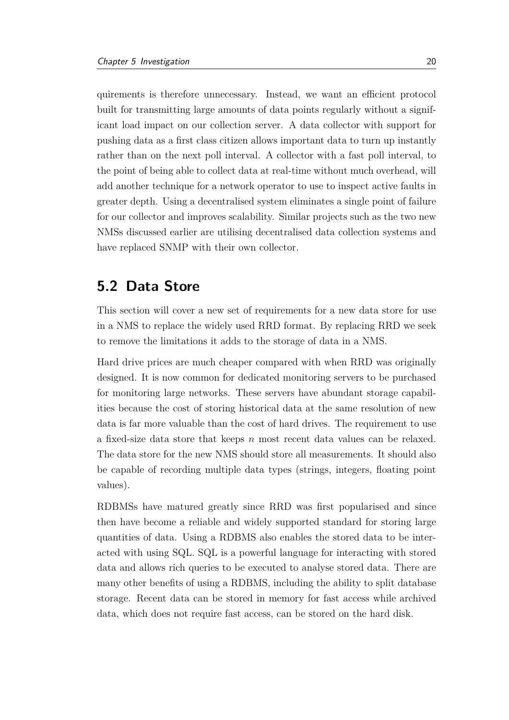quirements is therefore unnecessary. Instead, we want an efficient protocol built for transmitting large amounts of data points regularly without a significant load impact on our collection server. A data collector with support for pushing data as a first class citizen allows important data to turn up instantly rather than on the next poll interval. A collector with a fast poll interval, to the point of being able to collect data at real-time without much overhead, will add another technique for a network operator to use to inspect active faults in greater depth. Using a decentralised system eliminates a single point of failure for our collector and improves scalability. Similar projects such as the two new [NMSs](#page-6-1) discussed earlier are utilising decentralised data collection systems and have replaced [SNMP](#page-6-6) with their own collector.

### <span id="page-26-0"></span>**5.2 Data Store**

This section will cover a new set of requirements for a new data store for use in a [NMS](#page-6-1) to replace the widely used [RRD](#page-6-9) format. By replacing [RRD](#page-6-9) we seek to remove the limitations it adds to the storage of data in a [NMS.](#page-6-1)

Hard drive prices are much cheaper compared with when [RRD](#page-6-9) was originally designed. It is now common for dedicated monitoring servers to be purchased for monitoring large networks. These servers have abundant storage capabilities because the cost of storing historical data at the same resolution of new data is far more valuable than the cost of hard drives. The requirement to use a fixed-size data store that keeps *n* most recent data values can be relaxed. The data store for the new [NMS](#page-6-1) should store all measurements. It should also be capable of recording multiple data types (strings, integers, floating point values).

RDBMSs have matured greatly since [RRD](#page-6-9) was first popularised and since then have become a reliable and widely supported standard for storing large quantities of data. Using a RDBMS also enables the stored data to be interacted with using SQL. SQL is a powerful language for interacting with stored data and allows rich queries to be executed to analyse stored data. There are many other benefits of using a RDBMS, including the ability to split database storage. Recent data can be stored in memory for fast access while archived data, which does not require fast access, can be stored on the hard disk.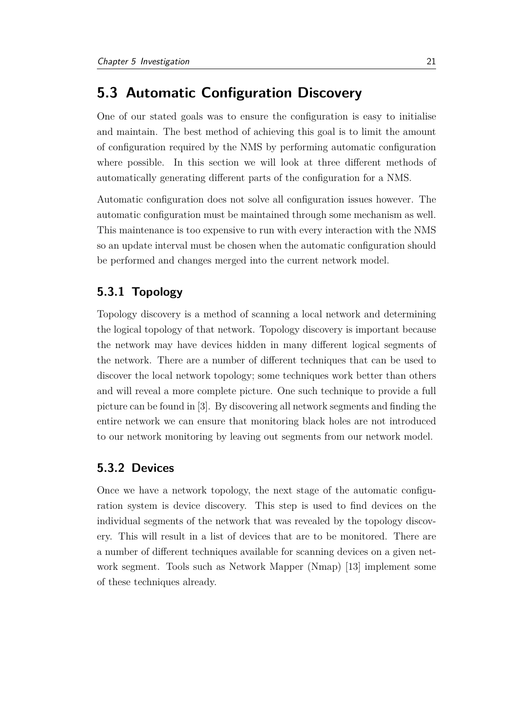### <span id="page-27-0"></span>**5.3 Automatic Configuration Discovery**

One of our stated goals was to ensure the configuration is easy to initialise and maintain. The best method of achieving this goal is to limit the amount of configuration required by the [NMS](#page-6-1) by performing automatic configuration where possible. In this section we will look at three different methods of automatically generating different parts of the configuration for a [NMS.](#page-6-1)

Automatic configuration does not solve all configuration issues however. The automatic configuration must be maintained through some mechanism as well. This maintenance is too expensive to run with every interaction with the [NMS](#page-6-1) so an update interval must be chosen when the automatic configuration should be performed and changes merged into the current network model.

#### <span id="page-27-1"></span>**5.3.1 Topology**

Topology discovery is a method of scanning a local network and determining the logical topology of that network. Topology discovery is important because the network may have devices hidden in many different logical segments of the network. There are a number of different techniques that can be used to discover the local network topology; some techniques work better than others and will reveal a more complete picture. One such technique to provide a full picture can be found in [\[3\]](#page-41-6). By discovering all network segments and finding the entire network we can ensure that monitoring black holes are not introduced to our network monitoring by leaving out segments from our network model.

#### <span id="page-27-2"></span>**5.3.2 Devices**

Once we have a network topology, the next stage of the automatic configuration system is device discovery. This step is used to find devices on the individual segments of the network that was revealed by the topology discovery. This will result in a list of devices that are to be monitored. There are a number of different techniques available for scanning devices on a given network segment. Tools such as Network Mapper [\(Nmap\)](#page-6-13) [\[13\]](#page-42-10) implement some of these techniques already.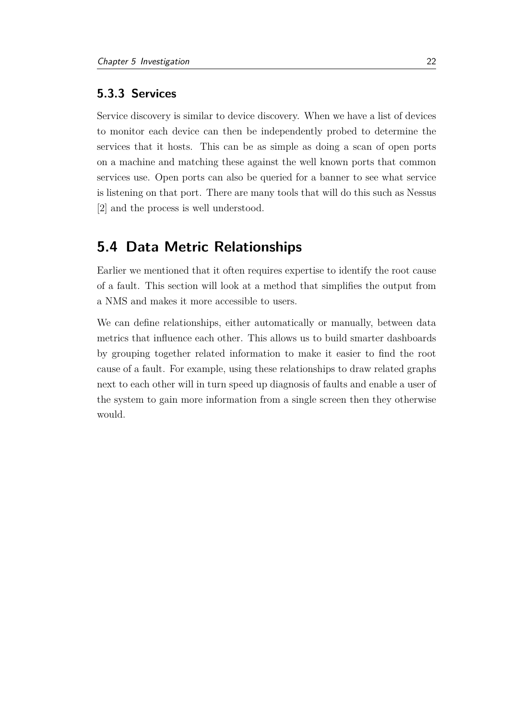#### <span id="page-28-0"></span>**5.3.3 Services**

Service discovery is similar to device discovery. When we have a list of devices to monitor each device can then be independently probed to determine the services that it hosts. This can be as simple as doing a scan of open ports on a machine and matching these against the well known ports that common services use. Open ports can also be queried for a banner to see what service is listening on that port. There are many tools that will do this such as Nessus [\[2\]](#page-41-7) and the process is well understood.

### <span id="page-28-1"></span>**5.4 Data Metric Relationships**

Earlier we mentioned that it often requires expertise to identify the root cause of a fault. This section will look at a method that simplifies the output from a [NMS](#page-6-1) and makes it more accessible to users.

We can define relationships, either automatically or manually, between data metrics that influence each other. This allows us to build smarter dashboards by grouping together related information to make it easier to find the root cause of a fault. For example, using these relationships to draw related graphs next to each other will in turn speed up diagnosis of faults and enable a user of the system to gain more information from a single screen then they otherwise would.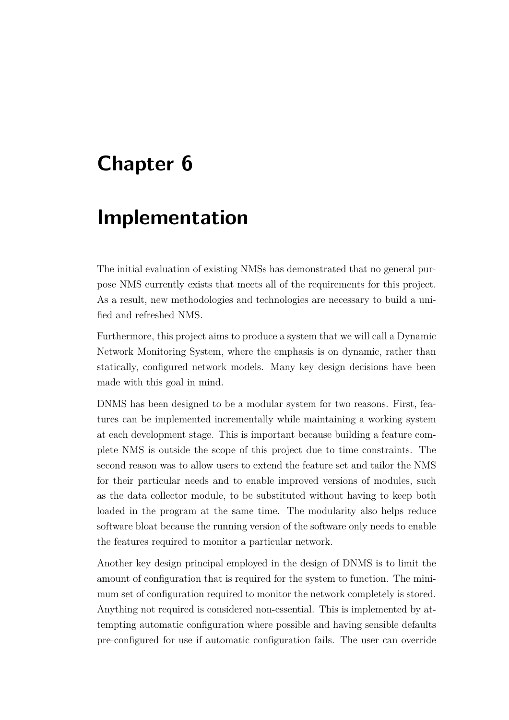## <span id="page-29-0"></span>**Chapter 6**

## **Implementation**

The initial evaluation of existing [NMSs](#page-6-1) has demonstrated that no general purpose [NMS](#page-6-1) currently exists that meets all of the requirements for this project. As a result, new methodologies and technologies are necessary to build a unified and refreshed [NMS.](#page-6-1)

Furthermore, this project aims to produce a system that we will call a Dynamic Network Monitoring System, where the emphasis is on dynamic, rather than statically, configured network models. Many key design decisions have been made with this goal in mind.

[DNMS](#page-6-0) has been designed to be a modular system for two reasons. First, features can be implemented incrementally while maintaining a working system at each development stage. This is important because building a feature complete [NMS](#page-6-1) is outside the scope of this project due to time constraints. The second reason was to allow users to extend the feature set and tailor the [NMS](#page-6-1) for their particular needs and to enable improved versions of modules, such as the data collector module, to be substituted without having to keep both loaded in the program at the same time. The modularity also helps reduce software bloat because the running version of the software only needs to enable the features required to monitor a particular network.

Another key design principal employed in the design of [DNMS](#page-6-0) is to limit the amount of configuration that is required for the system to function. The minimum set of configuration required to monitor the network completely is stored. Anything not required is considered non-essential. This is implemented by attempting automatic configuration where possible and having sensible defaults pre-configured for use if automatic configuration fails. The user can override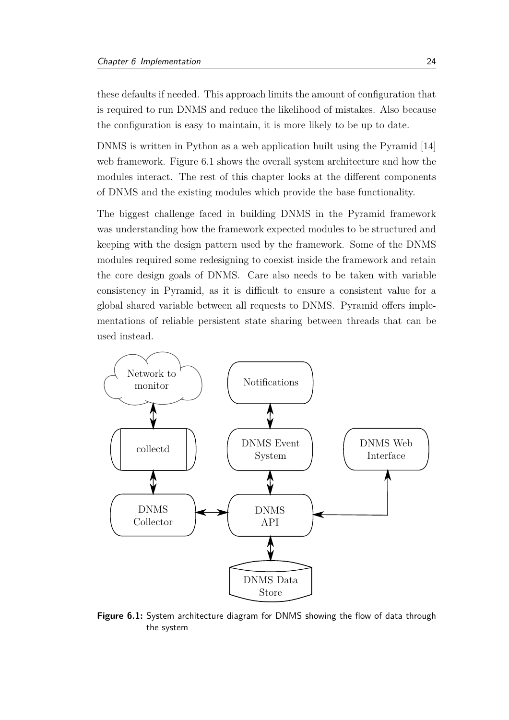these defaults if needed. This approach limits the amount of configuration that is required to run [DNMS](#page-6-0) and reduce the likelihood of mistakes. Also because the configuration is easy to maintain, it is more likely to be up to date.

[DNMS](#page-6-0) is written in Python as a web application built using the Pyramid [\[14\]](#page-42-11) web framework. Figure [6.1](#page-30-0) shows the overall system architecture and how the modules interact. The rest of this chapter looks at the different components of [DNMS](#page-6-0) and the existing modules which provide the base functionality.

The biggest challenge faced in building [DNMS](#page-6-0) in the Pyramid framework was understanding how the framework expected modules to be structured and keeping with the design pattern used by the framework. Some of the [DNMS](#page-6-0) modules required some redesigning to coexist inside the framework and retain the core design goals of [DNMS.](#page-6-0) Care also needs to be taken with variable consistency in Pyramid, as it is difficult to ensure a consistent value for a global shared variable between all requests to [DNMS.](#page-6-0) Pyramid offers implementations of reliable persistent state sharing between threads that can be used instead.

<span id="page-30-0"></span>

**Figure 6.1:** System architecture diagram for [DNMS](#page-6-0) showing the flow of data through the system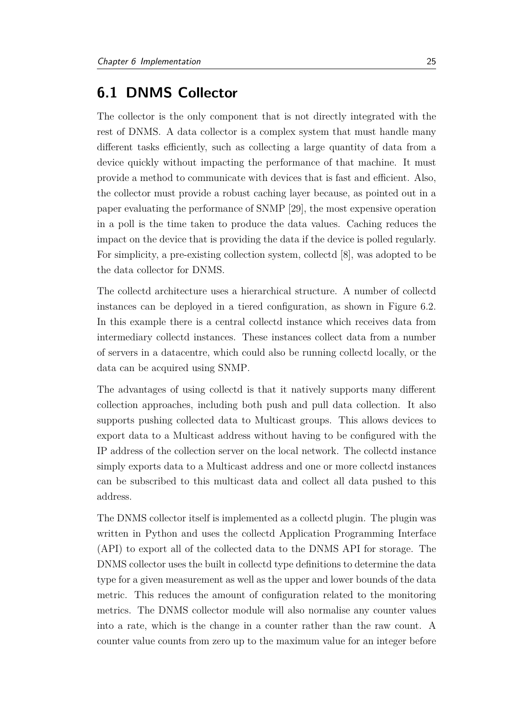### <span id="page-31-0"></span>**6.1 DNMS Collector**

The collector is the only component that is not directly integrated with the rest of [DNMS.](#page-6-0) A data collector is a complex system that must handle many different tasks efficiently, such as collecting a large quantity of data from a device quickly without impacting the performance of that machine. It must provide a method to communicate with devices that is fast and efficient. Also, the collector must provide a robust caching layer because, as pointed out in a paper evaluating the performance of [SNMP](#page-6-6) [\[29\]](#page-43-5), the most expensive operation in a poll is the time taken to produce the data values. Caching reduces the impact on the device that is providing the data if the device is polled regularly. For simplicity, a pre-existing collection system, collectd [\[8\]](#page-41-8), was adopted to be the data collector for [DNMS.](#page-6-0)

The collectd architecture uses a hierarchical structure. A number of collectd instances can be deployed in a tiered configuration, as shown in Figure [6.2.](#page-32-1) In this example there is a central collectd instance which receives data from intermediary collectd instances. These instances collect data from a number of servers in a datacentre, which could also be running collectd locally, or the data can be acquired using [SNMP.](#page-6-6)

The advantages of using collectd is that it natively supports many different collection approaches, including both push and pull data collection. It also supports pushing collected data to Multicast groups. This allows devices to export data to a Multicast address without having to be configured with the [IP](#page-6-3) address of the collection server on the local network. The collectd instance simply exports data to a Multicast address and one or more collectd instances can be subscribed to this multicast data and collect all data pushed to this address.

The [DNMS](#page-6-0) collector itself is implemented as a collectd plugin. The plugin was written in Python and uses the collectd Application Programming Interface [\(API\)](#page-6-14) to export all of the collected data to the [DNMS](#page-6-0) [API](#page-6-14) for storage. The [DNMS](#page-6-0) collector uses the built in collectd type definitions to determine the data type for a given measurement as well as the upper and lower bounds of the data metric. This reduces the amount of configuration related to the monitoring metrics. The [DNMS](#page-6-0) collector module will also normalise any counter values into a rate, which is the change in a counter rather than the raw count. A counter value counts from zero up to the maximum value for an integer before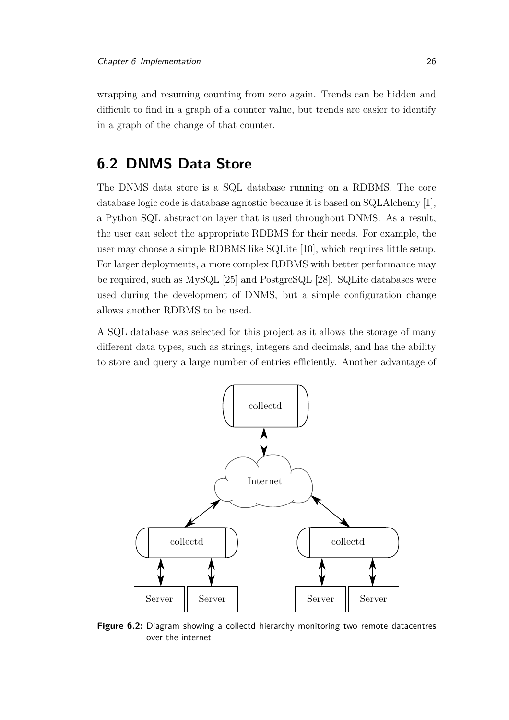wrapping and resuming counting from zero again. Trends can be hidden and difficult to find in a graph of a counter value, but trends are easier to identify in a graph of the change of that counter.

### <span id="page-32-0"></span>**6.2 DNMS Data Store**

The [DNMS](#page-6-0) data store is a SQL database running on a RDBMS. The core database logic code is database agnostic because it is based on SQLAlchemy [\[1\]](#page-41-0), a Python SQL abstraction layer that is used throughout [DNMS.](#page-6-0) As a result, the user can select the appropriate RDBMS for their needs. For example, the user may choose a simple RDBMS like SQLite [\[10\]](#page-41-9), which requires little setup. For larger deployments, a more complex RDBMS with better performance may be required, such as MySQL [\[25\]](#page-43-6) and PostgreSQL [\[28\]](#page-43-7). SQLite databases were used during the development of [DNMS,](#page-6-0) but a simple configuration change allows another RDBMS to be used.

A SQL database was selected for this project as it allows the storage of many different data types, such as strings, integers and decimals, and has the ability to store and query a large number of entries efficiently. Another advantage of

<span id="page-32-1"></span>

**Figure 6.2:** Diagram showing a collectd hierarchy monitoring two remote datacentres over the internet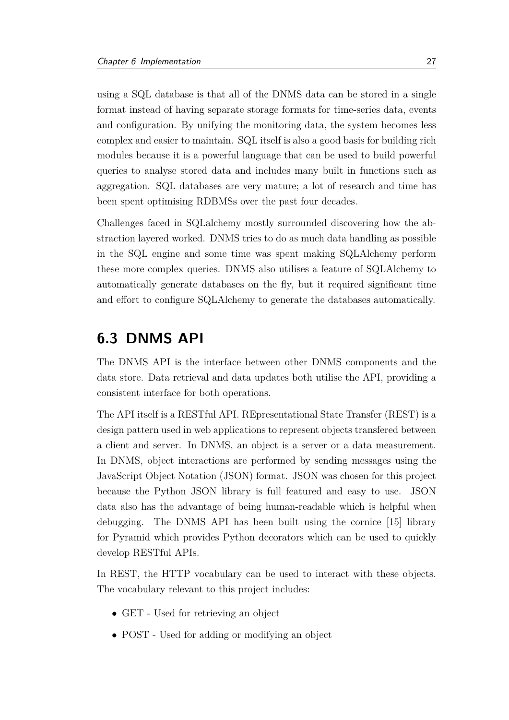using a SQL database is that all of the [DNMS](#page-6-0) data can be stored in a single format instead of having separate storage formats for time-series data, events and configuration. By unifying the monitoring data, the system becomes less complex and easier to maintain. SQL itself is also a good basis for building rich modules because it is a powerful language that can be used to build powerful queries to analyse stored data and includes many built in functions such as aggregation. SQL databases are very mature; a lot of research and time has been spent optimising RDBMSs over the past four decades.

Challenges faced in SQLalchemy mostly surrounded discovering how the abstraction layered worked. [DNMS](#page-6-0) tries to do as much data handling as possible in the SQL engine and some time was spent making SQLAlchemy perform these more complex queries. [DNMS](#page-6-0) also utilises a feature of SQLAlchemy to automatically generate databases on the fly, but it required significant time and effort to configure SQLAlchemy to generate the databases automatically.

### <span id="page-33-0"></span>**6.3 DNMS API**

The [DNMS](#page-6-0) [API](#page-6-14) is the interface between other [DNMS](#page-6-0) components and the data store. Data retrieval and data updates both utilise the [API,](#page-6-14) providing a consistent interface for both operations.

The [API](#page-6-14) itself is a RESTful API. REpresentational State Transfer [\(REST\)](#page-6-15) is a design pattern used in web applications to represent objects transfered between a client and server. In [DNMS,](#page-6-0) an object is a server or a data measurement. In [DNMS,](#page-6-0) object interactions are performed by sending messages using the JavaScript Object Notation (JSON) format. JSON was chosen for this project because the Python JSON library is full featured and easy to use. JSON data also has the advantage of being human-readable which is helpful when debugging. The [DNMS](#page-6-0) [API](#page-6-14) has been built using the cornice [\[15\]](#page-42-12) library for Pyramid which provides Python decorators which can be used to quickly develop RESTful [APIs](#page-6-14).

In [REST,](#page-6-15) the HTTP vocabulary can be used to interact with these objects. The vocabulary relevant to this project includes:

- GET Used for retrieving an object
- POST Used for adding or modifying an object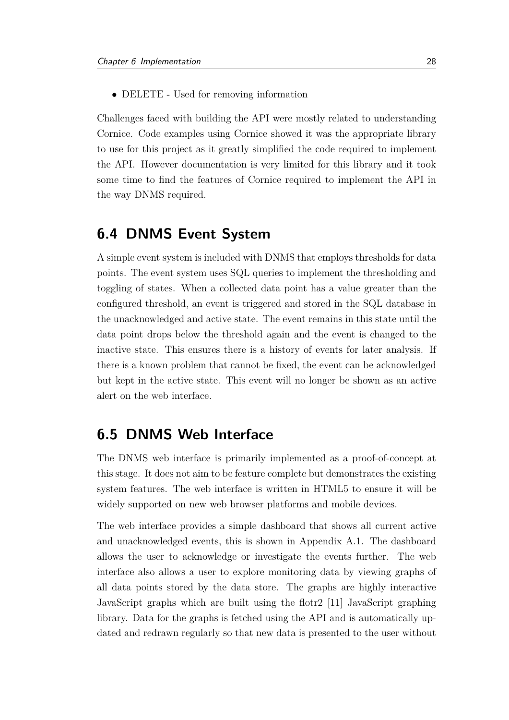• DELETE - Used for removing information

Challenges faced with building the [API](#page-6-14) were mostly related to understanding Cornice. Code examples using Cornice showed it was the appropriate library to use for this project as it greatly simplified the code required to implement the [API.](#page-6-14) However documentation is very limited for this library and it took some time to find the features of Cornice required to implement the [API](#page-6-14) in the way [DNMS](#page-6-0) required.

### <span id="page-34-0"></span>**6.4 DNMS Event System**

A simple event system is included with [DNMS](#page-6-0) that employs thresholds for data points. The event system uses SQL queries to implement the thresholding and toggling of states. When a collected data point has a value greater than the configured threshold, an event is triggered and stored in the SQL database in the unacknowledged and active state. The event remains in this state until the data point drops below the threshold again and the event is changed to the inactive state. This ensures there is a history of events for later analysis. If there is a known problem that cannot be fixed, the event can be acknowledged but kept in the active state. This event will no longer be shown as an active alert on the web interface.

### <span id="page-34-1"></span>**6.5 DNMS Web Interface**

The [DNMS](#page-6-0) web interface is primarily implemented as a proof-of-concept at this stage. It does not aim to be feature complete but demonstrates the existing system features. The web interface is written in HTML5 to ensure it will be widely supported on new web browser platforms and mobile devices.

The web interface provides a simple dashboard that shows all current active and unacknowledged events, this is shown in Appendix [A.1.](#page-44-1) The dashboard allows the user to acknowledge or investigate the events further. The web interface also allows a user to explore monitoring data by viewing graphs of all data points stored by the data store. The graphs are highly interactive JavaScript graphs which are built using the flotr2 [\[11\]](#page-42-13) JavaScript graphing library. Data for the graphs is fetched using the API and is automatically updated and redrawn regularly so that new data is presented to the user without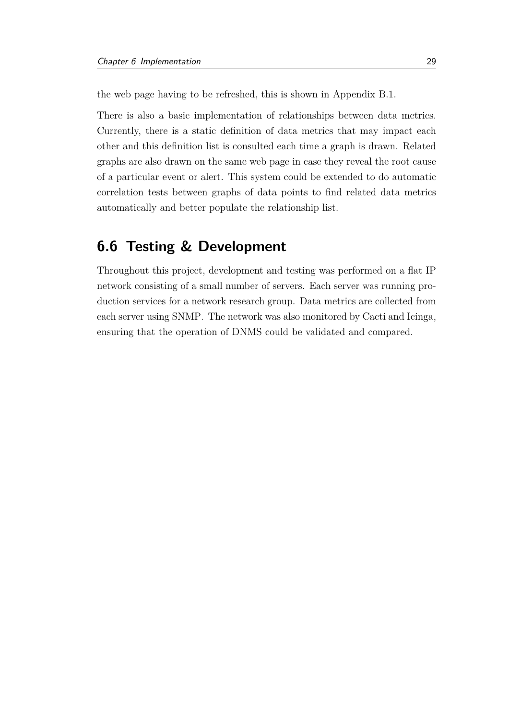the web page having to be refreshed, this is shown in Appendix [B.1.](#page-45-1)

There is also a basic implementation of relationships between data metrics. Currently, there is a static definition of data metrics that may impact each other and this definition list is consulted each time a graph is drawn. Related graphs are also drawn on the same web page in case they reveal the root cause of a particular event or alert. This system could be extended to do automatic correlation tests between graphs of data points to find related data metrics automatically and better populate the relationship list.

### <span id="page-35-0"></span>**6.6 Testing & Development**

Throughout this project, development and testing was performed on a flat [IP](#page-6-3) network consisting of a small number of servers. Each server was running production services for a network research group. Data metrics are collected from each server using [SNMP.](#page-6-6) The network was also monitored by Cacti and Icinga, ensuring that the operation of [DNMS](#page-6-0) could be validated and compared.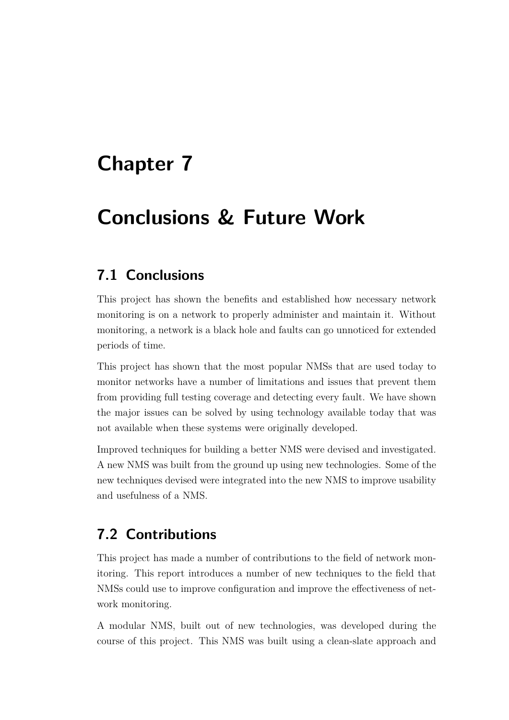## <span id="page-36-0"></span>**Chapter 7**

## **Conclusions & Future Work**

### <span id="page-36-1"></span>**7.1 Conclusions**

This project has shown the benefits and established how necessary network monitoring is on a network to properly administer and maintain it. Without monitoring, a network is a black hole and faults can go unnoticed for extended periods of time.

This project has shown that the most popular [NMSs](#page-6-1) that are used today to monitor networks have a number of limitations and issues that prevent them from providing full testing coverage and detecting every fault. We have shown the major issues can be solved by using technology available today that was not available when these systems were originally developed.

Improved techniques for building a better [NMS](#page-6-1) were devised and investigated. A new [NMS](#page-6-1) was built from the ground up using new technologies. Some of the new techniques devised were integrated into the new [NMS](#page-6-1) to improve usability and usefulness of a [NMS.](#page-6-1)

## <span id="page-36-2"></span>**7.2 Contributions**

This project has made a number of contributions to the field of network monitoring. This report introduces a number of new techniques to the field that [NMSs](#page-6-1) could use to improve configuration and improve the effectiveness of network monitoring.

A modular [NMS,](#page-6-1) built out of new technologies, was developed during the course of this project. This [NMS](#page-6-1) was built using a clean-slate approach and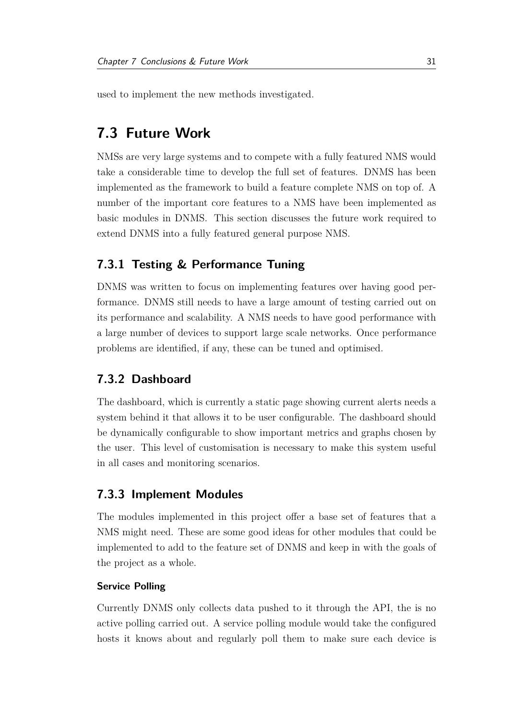used to implement the new methods investigated.

## <span id="page-37-0"></span>**7.3 Future Work**

[NMSs](#page-6-1) are very large systems and to compete with a fully featured [NMS](#page-6-1) would take a considerable time to develop the full set of features. [DNMS](#page-6-0) has been implemented as the framework to build a feature complete [NMS](#page-6-1) on top of. A number of the important core features to a [NMS](#page-6-1) have been implemented as basic modules in [DNMS.](#page-6-0) This section discusses the future work required to extend [DNMS](#page-6-0) into a fully featured general purpose [NMS.](#page-6-1)

#### <span id="page-37-1"></span>**7.3.1 Testing & Performance Tuning**

[DNMS](#page-6-0) was written to focus on implementing features over having good performance. [DNMS](#page-6-0) still needs to have a large amount of testing carried out on its performance and scalability. A [NMS](#page-6-1) needs to have good performance with a large number of devices to support large scale networks. Once performance problems are identified, if any, these can be tuned and optimised.

#### <span id="page-37-2"></span>**7.3.2 Dashboard**

The dashboard, which is currently a static page showing current alerts needs a system behind it that allows it to be user configurable. The dashboard should be dynamically configurable to show important metrics and graphs chosen by the user. This level of customisation is necessary to make this system useful in all cases and monitoring scenarios.

#### <span id="page-37-3"></span>**7.3.3 Implement Modules**

The modules implemented in this project offer a base set of features that a [NMS](#page-6-1) might need. These are some good ideas for other modules that could be implemented to add to the feature set of [DNMS](#page-6-0) and keep in with the goals of the project as a whole.

#### **Service Polling**

Currently [DNMS](#page-6-0) only collects data pushed to it through the [API,](#page-6-14) the is no active polling carried out. A service polling module would take the configured hosts it knows about and regularly poll them to make sure each device is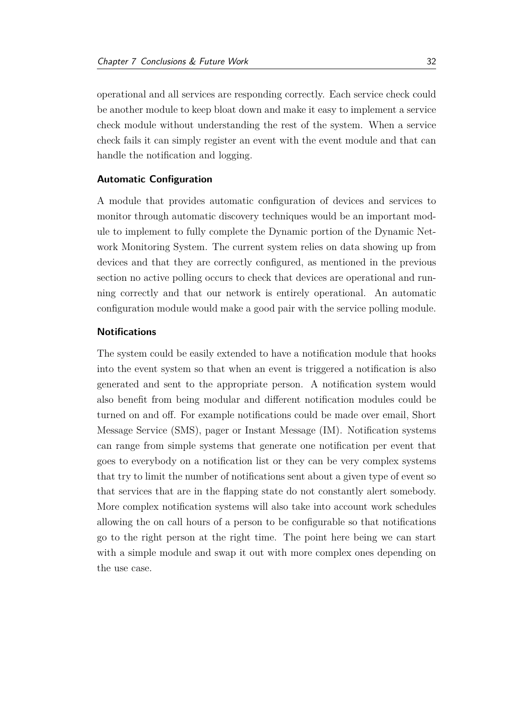operational and all services are responding correctly. Each service check could be another module to keep bloat down and make it easy to implement a service check module without understanding the rest of the system. When a service check fails it can simply register an event with the event module and that can handle the notification and logging.

#### **Automatic Configuration**

A module that provides automatic configuration of devices and services to monitor through automatic discovery techniques would be an important module to implement to fully complete the Dynamic portion of the Dynamic Network Monitoring System. The current system relies on data showing up from devices and that they are correctly configured, as mentioned in the previous section no active polling occurs to check that devices are operational and running correctly and that our network is entirely operational. An automatic configuration module would make a good pair with the service polling module.

#### **Notifications**

The system could be easily extended to have a notification module that hooks into the event system so that when an event is triggered a notification is also generated and sent to the appropriate person. A notification system would also benefit from being modular and different notification modules could be turned on and off. For example notifications could be made over email, Short Message Service [\(SMS\)](#page-6-16), pager or Instant Message [\(IM\)](#page-6-17). Notification systems can range from simple systems that generate one notification per event that goes to everybody on a notification list or they can be very complex systems that try to limit the number of notifications sent about a given type of event so that services that are in the flapping state do not constantly alert somebody. More complex notification systems will also take into account work schedules allowing the on call hours of a person to be configurable so that notifications go to the right person at the right time. The point here being we can start with a simple module and swap it out with more complex ones depending on the use case.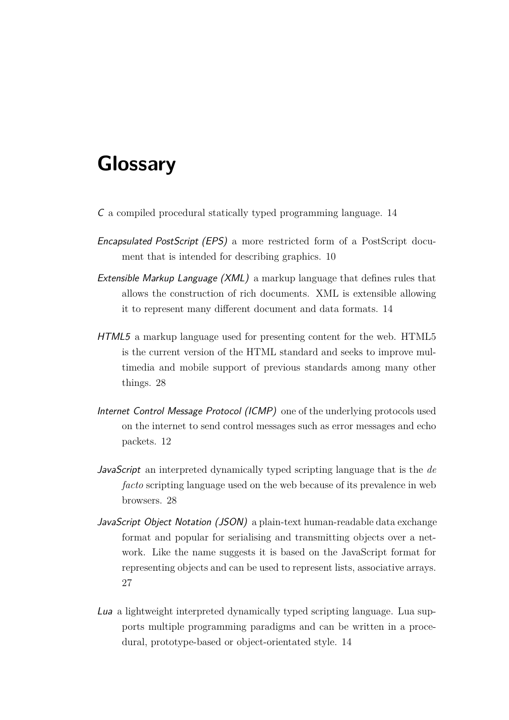## <span id="page-39-0"></span>**Glossary**

- C a compiled procedural statically typed programming language. 14
- Encapsulated PostScript (EPS) a more restricted form of a PostScript document that is intended for describing graphics. 10
- Extensible Markup Language (XML) a markup language that defines rules that allows the construction of rich documents. XML is extensible allowing it to represent many different document and data formats. 14
- HTML5 a markup language used for presenting content for the web. HTML5 is the current version of the HTML standard and seeks to improve multimedia and mobile support of previous standards among many other things. 28
- Internet Control Message Protocol (ICMP) one of the underlying protocols used on the internet to send control messages such as error messages and echo packets. 12
- JavaScript an interpreted dynamically typed scripting language that is the *de facto* scripting language used on the web because of its prevalence in web browsers. 28
- JavaScript Object Notation (JSON) a plain-text human-readable data exchange format and popular for serialising and transmitting objects over a network. Like the name suggests it is based on the JavaScript format for representing objects and can be used to represent lists, associative arrays. 27
- Lua a lightweight interpreted dynamically typed scripting language. Lua supports multiple programming paradigms and can be written in a procedural, prototype-based or object-orientated style. 14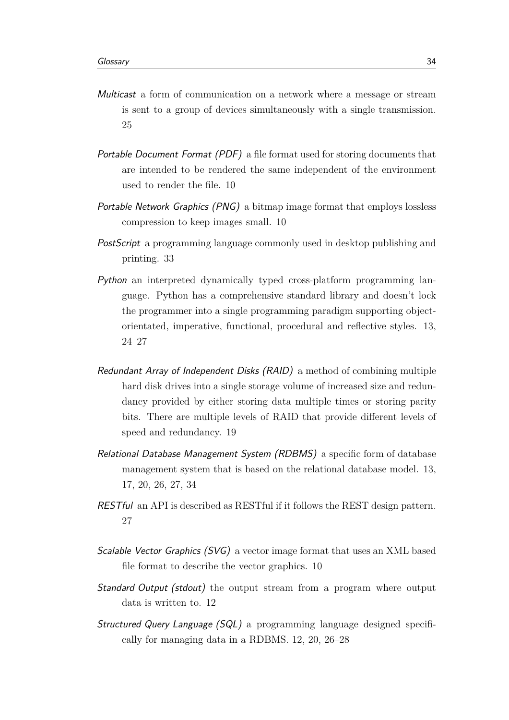- Multicast a form of communication on a network where a message or stream is sent to a group of devices simultaneously with a single transmission. 25
- Portable Document Format (PDF) a file format used for storing documents that are intended to be rendered the same independent of the environment used to render the file. 10
- Portable Network Graphics (PNG) a bitmap image format that employs lossless compression to keep images small. 10
- PostScript a programming language commonly used in desktop publishing and printing. 33
- Python an interpreted dynamically typed cross-platform programming language. Python has a comprehensive standard library and doesn't lock the programmer into a single programming paradigm supporting objectorientated, imperative, functional, procedural and reflective styles. 13, 24–27
- Redundant Array of Independent Disks (RAID) a method of combining multiple hard disk drives into a single storage volume of increased size and redundancy provided by either storing data multiple times or storing parity bits. There are multiple levels of RAID that provide different levels of speed and redundancy. 19
- Relational Database Management System (RDBMS) a specific form of database management system that is based on the relational database model. 13, 17, 20, 26, 27, 34
- RESTful an API is described as RESTful if it follows the [REST](#page-6-15) design pattern. 27
- Scalable Vector Graphics (SVG) a vector image format that uses an XML based file format to describe the vector graphics. 10
- **Standard Output (stdout)** the output stream from a program where output data is written to. 12
- Structured Query Language (SQL) a programming language designed specifically for managing data in a RDBMS. 12, 20, 26–28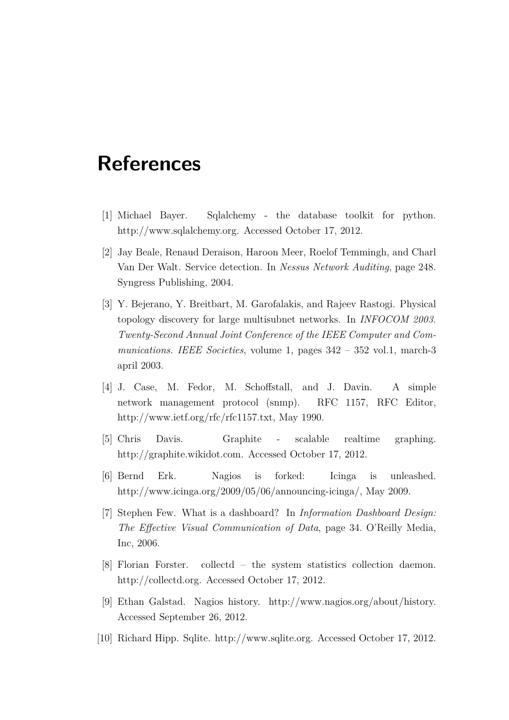## **References**

- <span id="page-41-0"></span>[1] Michael Bayer. Sqlalchemy - the database toolkit for python. http://www.sqlalchemy.org. Accessed October 17, 2012.
- <span id="page-41-7"></span>[2] Jay Beale, Renaud Deraison, Haroon Meer, Roelof Temmingh, and Charl Van Der Walt. Service detection. In *Nessus Network Auditing*, page 248. Syngress Publishing, 2004.
- <span id="page-41-6"></span>[3] Y. Bejerano, Y. Breitbart, M. Garofalakis, and Rajeev Rastogi. Physical topology discovery for large multisubnet networks. In *INFOCOM 2003. Twenty-Second Annual Joint Conference of the IEEE Computer and Communications. IEEE Societies*, volume 1, pages 342 – 352 vol.1, march-3 april 2003.
- <span id="page-41-3"></span>[4] J. Case, M. Fedor, M. Schoffstall, and J. Davin. A simple network management protocol (snmp). RFC 1157, RFC Editor, http://www.ietf.org/rfc/rfc1157.txt, May 1990.
- <span id="page-41-5"></span>[5] Chris Davis. Graphite - scalable realtime graphing. http://graphite.wikidot.com. Accessed October 17, 2012.
- <span id="page-41-4"></span>[6] Bernd Erk. Nagios is forked: Icinga is unleashed. http://www.icinga.org/2009/05/06/announcing-icinga/, May 2009.
- <span id="page-41-1"></span>[7] Stephen Few. What is a dashboard? In *Information Dashboard Design: The Effective Visual Communication of Data*, page 34. O'Reilly Media, Inc, 2006.
- <span id="page-41-8"></span>[8] Florian Forster. collectd – the system statistics collection daemon. http://collectd.org. Accessed October 17, 2012.
- <span id="page-41-2"></span>[9] Ethan Galstad. Nagios history. http://www.nagios.org/about/history. Accessed September 26, 2012.
- <span id="page-41-9"></span>[10] Richard Hipp. Sqlite. http://www.sqlite.org. Accessed October 17, 2012.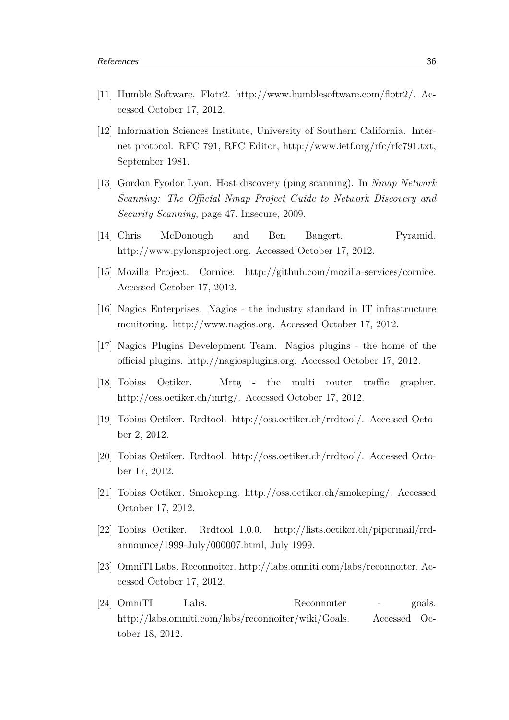- <span id="page-42-13"></span>[11] Humble Software. Flotr2. http://www.humblesoftware.com/flotr2/. Accessed October 17, 2012.
- <span id="page-42-0"></span>[12] Information Sciences Institute, University of Southern California. Internet protocol. RFC 791, RFC Editor, http://www.ietf.org/rfc/rfc791.txt, September 1981.
- <span id="page-42-10"></span>[13] Gordon Fyodor Lyon. Host discovery (ping scanning). In *Nmap Network Scanning: The Official Nmap Project Guide to Network Discovery and Security Scanning*, page 47. Insecure, 2009.
- <span id="page-42-11"></span>[14] Chris McDonough and Ben Bangert. Pyramid. http://www.pylonsproject.org. Accessed October 17, 2012.
- <span id="page-42-12"></span>[15] Mozilla Project. Cornice. http://github.com/mozilla-services/cornice. Accessed October 17, 2012.
- <span id="page-42-1"></span>[16] Nagios Enterprises. Nagios - the industry standard in IT infrastructure monitoring. http://www.nagios.org. Accessed October 17, 2012.
- <span id="page-42-6"></span>[17] Nagios Plugins Development Team. Nagios plugins - the home of the official plugins. http://nagiosplugins.org. Accessed October 17, 2012.
- <span id="page-42-4"></span>[18] Tobias Oetiker. Mrtg - the multi router traffic grapher. http://oss.oetiker.ch/mrtg/. Accessed October 17, 2012.
- <span id="page-42-2"></span>[19] Tobias Oetiker. Rrdtool. http://oss.oetiker.ch/rrdtool/. Accessed October 2, 2012.
- <span id="page-42-5"></span>[20] Tobias Oetiker. Rrdtool. http://oss.oetiker.ch/rrdtool/. Accessed October 17, 2012.
- <span id="page-42-7"></span>[21] Tobias Oetiker. Smokeping. http://oss.oetiker.ch/smokeping/. Accessed October 17, 2012.
- <span id="page-42-3"></span>[22] Tobias Oetiker. Rrdtool 1.0.0. http://lists.oetiker.ch/pipermail/rrdannounce/1999-July/000007.html, July 1999.
- <span id="page-42-8"></span>[23] OmniTI Labs. Reconnoiter. http://labs.omniti.com/labs/reconnoiter. Accessed October 17, 2012.
- <span id="page-42-9"></span>[24] OmniTI Labs. Reconnoiter - goals. http://labs.omniti.com/labs/reconnoiter/wiki/Goals. Accessed October 18, 2012.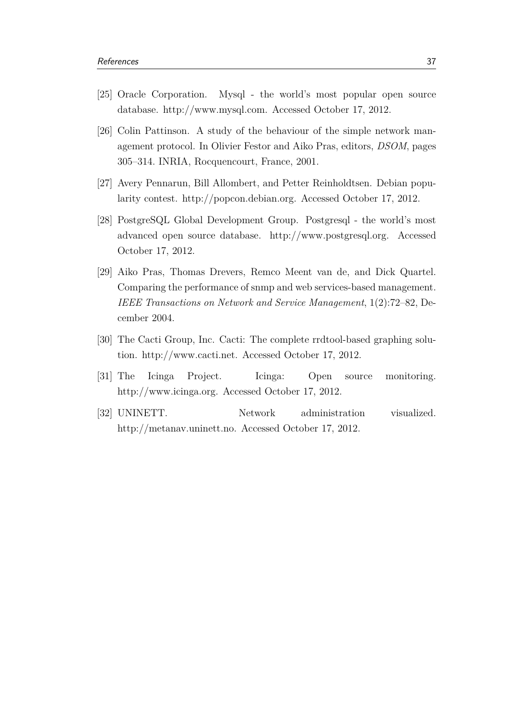- <span id="page-43-6"></span>[25] Oracle Corporation. Mysql - the world's most popular open source database. http://www.mysql.com. Accessed October 17, 2012.
- <span id="page-43-4"></span>[26] Colin Pattinson. A study of the behaviour of the simple network management protocol. In Olivier Festor and Aiko Pras, editors, *DSOM*, pages 305–314. INRIA, Rocquencourt, France, 2001.
- <span id="page-43-1"></span>[27] Avery Pennarun, Bill Allombert, and Petter Reinholdtsen. Debian popularity contest. http://popcon.debian.org. Accessed October 17, 2012.
- <span id="page-43-7"></span>[28] PostgreSQL Global Development Group. Postgresql - the world's most advanced open source database. http://www.postgresql.org. Accessed October 17, 2012.
- <span id="page-43-5"></span>[29] Aiko Pras, Thomas Drevers, Remco Meent van de, and Dick Quartel. Comparing the performance of snmp and web services-based management. *IEEE Transactions on Network and Service Management*, 1(2):72–82, December 2004.
- <span id="page-43-2"></span>[30] The Cacti Group, Inc. Cacti: The complete rrdtool-based graphing solution. http://www.cacti.net. Accessed October 17, 2012.
- <span id="page-43-3"></span>[31] The Icinga Project. Icinga: Open source monitoring. http://www.icinga.org. Accessed October 17, 2012.
- <span id="page-43-0"></span>[32] UNINETT. Network administration visualized. http://metanav.uninett.no. Accessed October 17, 2012.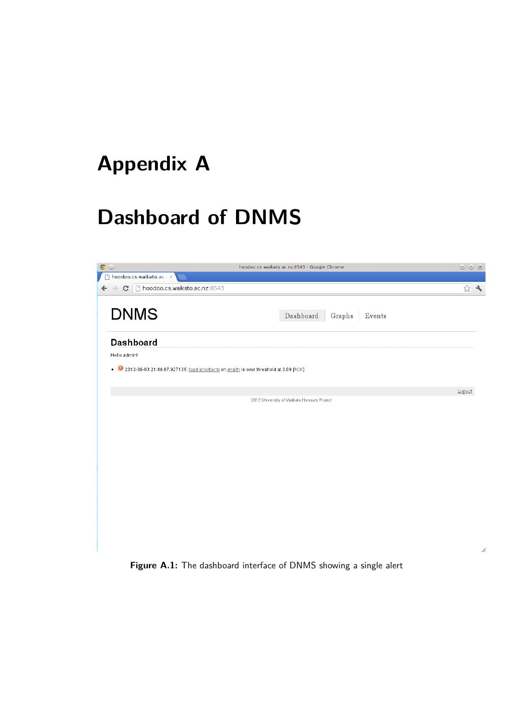# <span id="page-44-0"></span>**Appendix A**

# **Dashboard of DNMS**

<span id="page-44-1"></span>

| $\bullet$                                                                              | hoodoo.cs.waikato.ac.nz:6543 - Google Chrome | $\odot$ $\odot$ $\odot$ |
|----------------------------------------------------------------------------------------|----------------------------------------------|-------------------------|
| hoodoo.cs.waikato.ac.                                                                  |                                              |                         |
| C   hoodoo.cs.waikato.ac.nz:6543<br>$\leftarrow$ $\rightarrow$                         |                                              | 23                      |
| <b>DNMS</b>                                                                            | $\it Dashboard$<br>Graphs<br>Events          |                         |
| Dashboard<br>Hello admin!                                                              |                                              |                         |
| . 2012-09-03 21:49:07.927135: load.shortterm on wraith is over threshold at 3.09 [ACK] |                                              |                         |
|                                                                                        |                                              | Logout                  |
|                                                                                        | 2012 University of Waikato Honours Project   |                         |
|                                                                                        |                                              |                         |
|                                                                                        |                                              |                         |
|                                                                                        |                                              |                         |
|                                                                                        |                                              |                         |
|                                                                                        |                                              |                         |
|                                                                                        |                                              |                         |
|                                                                                        |                                              |                         |
|                                                                                        |                                              |                         |
|                                                                                        |                                              |                         |

Figure A.1: The dashboard interface of DNMS showing a single alert

 $\angle$